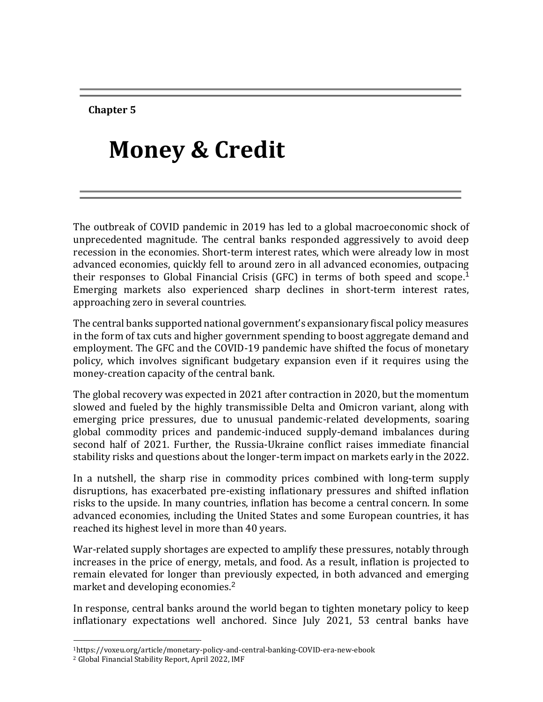**Chapter 5**

# **Money & Credit**

The outbreak of COVID pandemic in 2019 has led to a global macroeconomic shock of unprecedented magnitude. The central banks responded aggressively to avoid deep recession in the economies. Short-term interest rates, which were already low in most advanced economies, quickly fell to around zero in all advanced economies, outpacing their responses to Global Financial Crisis (GFC) in terms of both speed and scope. 1 Emerging markets also experienced sharp declines in short-term interest rates, approaching zero in several countries.

The central banks supported national government's expansionary fiscal policy measures in the form of tax cuts and higher government spending to boost aggregate demand and employment. The GFC and the COVID-19 pandemic have shifted the focus of monetary policy, which involves significant budgetary expansion even if it requires using the money-creation capacity of the central bank.

The global recovery was expected in 2021 after contraction in 2020, but the momentum slowed and fueled by the highly transmissible Delta and Omicron variant, along with emerging price pressures, due to unusual pandemic-related developments, soaring global commodity prices and pandemic-induced supply-demand imbalances during second half of 2021. Further, the Russia-Ukraine conflict raises immediate financial stability risks and questions about the longer-term impact on markets early in the 2022.

In a nutshell, the sharp rise in commodity prices combined with long-term supply disruptions, has exacerbated pre-existing inflationary pressures and shifted inflation risks to the upside. In many countries, inflation has become a central concern. In some advanced economies, including the United States and some European countries, it has reached its highest level in more than 40 years.

War-related supply shortages are expected to amplify these pressures, notably through increases in the price of energy, metals, and food. As a result, inflation is projected to remain elevated for longer than previously expected, in both advanced and emerging market and developing economies. 2

In response, central banks around the world began to tighten monetary policy to keep inflationary expectations well anchored. Since July 2021, 53 central banks have

 $\overline{\phantom{a}}$ 

<sup>1</sup>https://voxeu.org/article/monetary-policy-and-central-banking-COVID-era-new-ebook

<sup>2</sup> Global Financial Stability Report, April 2022, IMF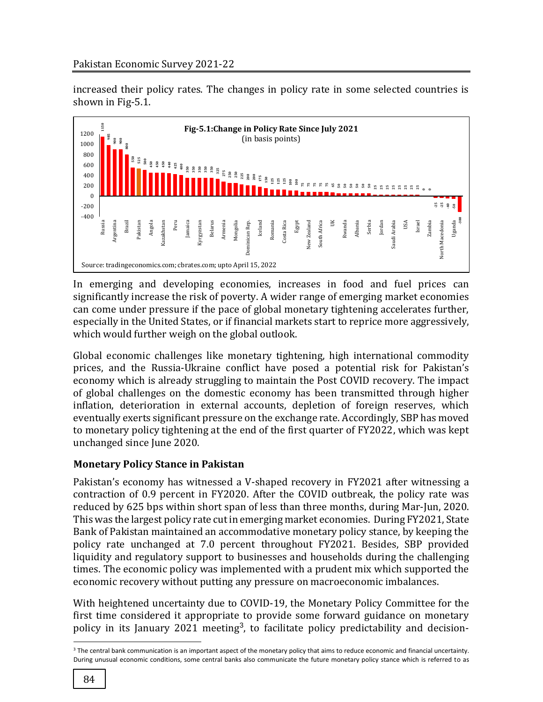increased their policy rates. The changes in policy rate in some selected countries is shown in Fig-5.1.



In emerging and developing economies, increases in food and fuel prices can significantly increase the risk of poverty. A wider range of emerging market economies can come under pressure if the pace of global monetary tightening accelerates further, especially in the United States, or if financial markets start to reprice more aggressively, which would further weigh on the global outlook.

Global economic challenges like monetary tightening, high international commodity prices, and the Russia-Ukraine conflict have posed a potential risk for Pakistan's economy which is already struggling to maintain the Post COVID recovery. The impact of global challenges on the domestic economy has been transmitted through higher inflation, deterioration in external accounts, depletion of foreign reserves, which eventually exerts significant pressure on the exchange rate. Accordingly, SBP has moved to monetary policy tightening at the end of the first quarter of FY2022, which was kept unchanged since June 2020.

# **Monetary Policy Stance in Pakistan**

Pakistan's economy has witnessed a V-shaped recovery in FY2021 after witnessing a contraction of 0.9 percent in FY2020. After the COVID outbreak, the policy rate was reduced by 625 bps within short span of less than three months, during Mar-Jun, 2020. This was the largest policy rate cut in emerging market economies. During FY2021, State Bank of Pakistan maintained an accommodative monetary policy stance, by keeping the policy rate unchanged at 7.0 percent throughout FY2021. Besides, SBP provided liquidity and regulatory support to businesses and households during the challenging times. The economic policy was implemented with a prudent mix which supported the economic recovery without putting any pressure on macroeconomic imbalances.

With heightened uncertainty due to COVID-19, the Monetary Policy Committee for the first time considered it appropriate to provide some forward guidance on monetary policy in its January 2021 meeting<sup>3</sup>, to facilitate policy predictability and decision-

l

<sup>&</sup>lt;sup>3</sup> The central bank communication is an important aspect of the monetary policy that aims to reduce economic and financial uncertainty.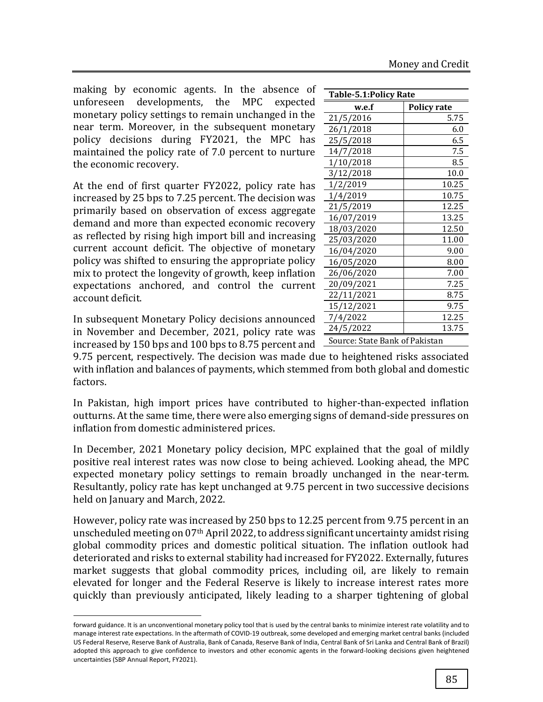making by economic agents. In the absence of unforeseen developments, the MPC expected monetary policy settings to remain unchanged in the near term. Moreover, in the subsequent monetary policy decisions during FY2021, the MPC has maintained the policy rate of 7.0 percent to nurture the economic recovery.

At the end of first quarter FY2022, policy rate has increased by 25 bps to 7.25 percent. The decision was primarily based on observation of excess aggregate demand and more than expected economic recovery as reflected by rising high import bill and increasing current account deficit. The objective of monetary policy was shifted to ensuring the appropriate policy mix to protect the longevity of growth, keep inflation expectations anchored, and control the current account deficit.

In subsequent Monetary Policy decisions announced in November and December, 2021, policy rate was increased by 150 bps and 100 bps to 8.75 percent and

l

9.75 percent, respectively. The decision was made due to with inflation and balances of payments, which stemmed from both global and domestic factors.

In Pakistan, high import prices have contributed to higher-than-expected inflation outturns. At the same time, there were also emerging signs of demand-side pressures on inflation from domestic administered prices.

In December, 2021 Monetary policy decision, MPC explained that the goal of mildly positive real interest rates was now close to being achieved. Looking ahead, the MPC expected monetary policy settings to remain broadly unchanged in the near-term. Resultantly, policy rate has kept unchanged at 9.75 percent in two successive decisions held on January and March, 2022.

However, policy rate was increased by 250 bps to 12.25 percent from 9.75 percent in an unscheduled meeting on 07th April 2022, to address significant uncertainty amidst rising global commodity prices and domestic political situation. The inflation outlook had deteriorated and risks to external stability had increased for FY2022. Externally, futures market suggests that global commodity prices, including oil, are likely to remain elevated for longer and the Federal Reserve is likely to increase interest rates more quickly than previously anticipated, likely leading to a sharper tightening of global

| w.e.f                               | <b>Policy rate</b>             |  |  |  |  |  |  |
|-------------------------------------|--------------------------------|--|--|--|--|--|--|
| 21/5/2016                           | 5.75                           |  |  |  |  |  |  |
| 26/1/2018                           | 6.0                            |  |  |  |  |  |  |
| 25/5/2018                           | 6.5                            |  |  |  |  |  |  |
| 14/7/2018                           | 7.5                            |  |  |  |  |  |  |
| 1/10/2018                           | 8.5                            |  |  |  |  |  |  |
| 3/12/2018                           | 10.0                           |  |  |  |  |  |  |
| 1/2/2019                            | 10.25                          |  |  |  |  |  |  |
| 1/4/2019                            | 10.75                          |  |  |  |  |  |  |
| 21/5/2019                           | 12.25                          |  |  |  |  |  |  |
| 16/07/2019                          | 13.25                          |  |  |  |  |  |  |
| 18/03/2020                          | 12.50                          |  |  |  |  |  |  |
| 25/03/2020                          | 11.00                          |  |  |  |  |  |  |
| 16/04/2020                          | 9.00                           |  |  |  |  |  |  |
| 16/05/2020                          | 8.00                           |  |  |  |  |  |  |
| 26/06/2020                          | 7.00                           |  |  |  |  |  |  |
| 20/09/2021                          | 7.25                           |  |  |  |  |  |  |
| 22/11/2021                          | 8.75                           |  |  |  |  |  |  |
| 15/12/2021                          | 9.75                           |  |  |  |  |  |  |
| 7/4/2022                            | 12.25                          |  |  |  |  |  |  |
| 24/5/2022                           | 13.75                          |  |  |  |  |  |  |
|                                     | Source: State Bank of Pakistan |  |  |  |  |  |  |
| to heightened risks associated<br>. |                                |  |  |  |  |  |  |

**Table-5.1:Policy Rate**

forward guidance. It is an unconventional monetary policy tool that is used by the central banks to minimize interest rate volatility and to manage interest rate expectations. In the aftermath of COVID-19 outbreak, some developed and emerging market central banks (included US Federal Reserve, Reserve Bank of Australia, Bank of Canada, Reserve Bank of India, Central Bank of Sri Lanka and Central Bank of Brazil) adopted this approach to give confidence to investors and other economic agents in the forward-looking decisions given heightened uncertainties (SBP Annual Report, FY2021).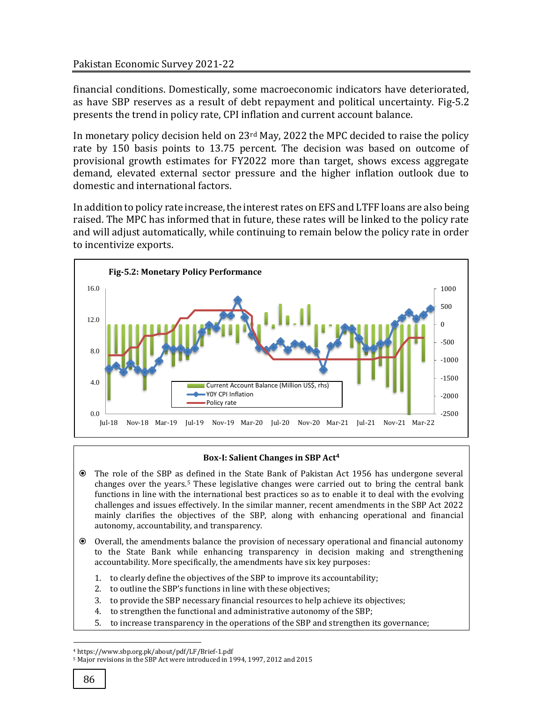financial conditions. Domestically, some macroeconomic indicators have deteriorated, as have SBP reserves as a result of debt repayment and political uncertainty. Fig-5.2 presents the trend in policy rate, CPI inflation and current account balance.

In monetary policy decision held on 23rd May, 2022 the MPC decided to raise the policy rate by 150 basis points to 13.75 percent. The decision was based on outcome of provisional growth estimates for FY2022 more than target, shows excess aggregate demand, elevated external sector pressure and the higher inflation outlook due to domestic and international factors.

In addition to policy rate increase, the interest rates on EFS and LTFF loans are also being raised. The MPC has informed that in future, these rates will be linked to the policy rate and will adjust automatically, while continuing to remain below the policy rate in order to incentivize exports.



## **Box-I: Salient Changes in SBP Act<sup>4</sup>**

- The role of the SBP as defined in the State Bank of Pakistan Act 1956 has undergone several changes over the years.<sup>5</sup> These legislative changes were carried out to bring the central bank functions in line with the international best practices so as to enable it to deal with the evolving challenges and issues effectively. In the similar manner, recent amendments in the SBP Act 2022 mainly clarifies the objectives of the SBP, along with enhancing operational and financial autonomy, accountability, and transparency.
- Overall, the amendments balance the provision of necessary operational and financial autonomy to the State Bank while enhancing transparency in decision making and strengthening accountability. More specifically, the amendments have six key purposes:
	- 1. to clearly define the objectives of the SBP to improve its accountability;
	- 2. to outline the SBP's functions in line with these objectives;
	- 3. to provide the SBP necessary financial resources to help achieve its objectives;
	- 4. to strengthen the functional and administrative autonomy of the SBP;
	- 5. to increase transparency in the operations of the SBP and strengthen its governance;

l

<sup>4</sup> https://www.sbp.org.pk/about/pdf/LF/Brief-1.pdf

<sup>5</sup> Major revisions in the SBP Act were introduced in 1994, 1997, 2012 and 2015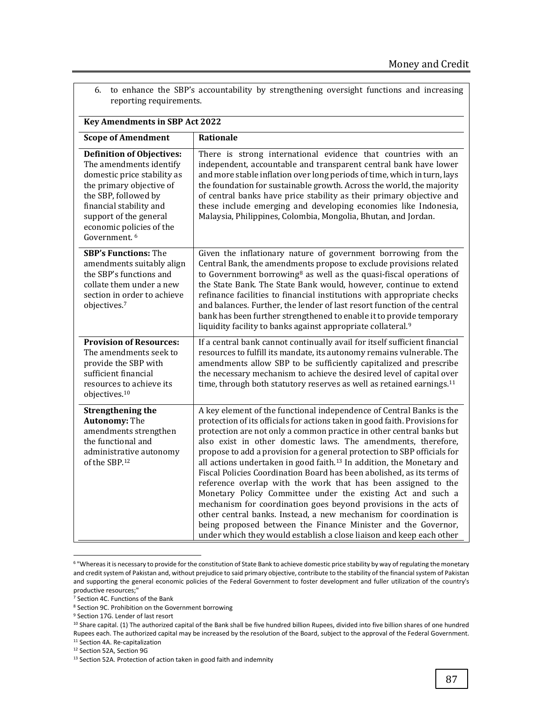| reporting requirements.                                                                                                                                                                                                                                     |                                                                                                                                                                                                                                                                                                                                                                                                                                                                                                                                                                                                                                                                                                                                                                                                                                                                                                                                                           |
|-------------------------------------------------------------------------------------------------------------------------------------------------------------------------------------------------------------------------------------------------------------|-----------------------------------------------------------------------------------------------------------------------------------------------------------------------------------------------------------------------------------------------------------------------------------------------------------------------------------------------------------------------------------------------------------------------------------------------------------------------------------------------------------------------------------------------------------------------------------------------------------------------------------------------------------------------------------------------------------------------------------------------------------------------------------------------------------------------------------------------------------------------------------------------------------------------------------------------------------|
| <b>Key Amendments in SBP Act 2022</b>                                                                                                                                                                                                                       |                                                                                                                                                                                                                                                                                                                                                                                                                                                                                                                                                                                                                                                                                                                                                                                                                                                                                                                                                           |
| <b>Scope of Amendment</b>                                                                                                                                                                                                                                   | Rationale                                                                                                                                                                                                                                                                                                                                                                                                                                                                                                                                                                                                                                                                                                                                                                                                                                                                                                                                                 |
| <b>Definition of Objectives:</b><br>The amendments identify<br>domestic price stability as<br>the primary objective of<br>the SBP, followed by<br>financial stability and<br>support of the general<br>economic policies of the<br>Government. <sup>6</sup> | There is strong international evidence that countries with an<br>independent, accountable and transparent central bank have lower<br>and more stable inflation over long periods of time, which in turn, lays<br>the foundation for sustainable growth. Across the world, the majority<br>of central banks have price stability as their primary objective and<br>these include emerging and developing economies like Indonesia,<br>Malaysia, Philippines, Colombia, Mongolia, Bhutan, and Jordan.                                                                                                                                                                                                                                                                                                                                                                                                                                                       |
| <b>SBP's Functions: The</b><br>amendments suitably align<br>the SBP's functions and<br>collate them under a new<br>section in order to achieve<br>objectives.7                                                                                              | Given the inflationary nature of government borrowing from the<br>Central Bank, the amendments propose to exclude provisions related<br>to Government borrowing <sup>8</sup> as well as the quasi-fiscal operations of<br>the State Bank. The State Bank would, however, continue to extend<br>refinance facilities to financial institutions with appropriate checks<br>and balances. Further, the lender of last resort function of the central<br>bank has been further strengthened to enable it to provide temporary<br>liquidity facility to banks against appropriate collateral. <sup>9</sup>                                                                                                                                                                                                                                                                                                                                                     |
| <b>Provision of Resources:</b><br>The amendments seek to<br>provide the SBP with<br>sufficient financial<br>resources to achieve its<br>objectives. <sup>10</sup>                                                                                           | If a central bank cannot continually avail for itself sufficient financial<br>resources to fulfill its mandate, its autonomy remains vulnerable. The<br>amendments allow SBP to be sufficiently capitalized and prescribe<br>the necessary mechanism to achieve the desired level of capital over<br>time, through both statutory reserves as well as retained earnings. <sup>11</sup>                                                                                                                                                                                                                                                                                                                                                                                                                                                                                                                                                                    |
| <b>Strengthening the</b><br><b>Autonomy: The</b><br>amendments strengthen<br>the functional and<br>administrative autonomy<br>of the SBP.12                                                                                                                 | A key element of the functional independence of Central Banks is the<br>protection of its officials for actions taken in good faith. Provisions for<br>protection are not only a common practice in other central banks but<br>also exist in other domestic laws. The amendments, therefore,<br>propose to add a provision for a general protection to SBP officials for<br>all actions undertaken in good faith. <sup>13</sup> In addition, the Monetary and<br>Fiscal Policies Coordination Board has been abolished, as its terms of<br>reference overlap with the work that has been assigned to the<br>Monetary Policy Committee under the existing Act and such a<br>mechanism for coordination goes beyond provisions in the acts of<br>other central banks. Instead, a new mechanism for coordination is<br>being proposed between the Finance Minister and the Governor,<br>under which they would establish a close liaison and keep each other |

<sup>6.</sup> to enhance the SBP's accountability by strengthening oversight functions and increasing reporting requirements.

 $\overline{\phantom{a}}$ 

<sup>9</sup> Section 17G. Lender of last resort

<sup>&</sup>lt;sup>6</sup> "Whereas it is necessary to provide for the constitution of State Bank to achieve domestic price stability by way of regulating the monetary and credit system of Pakistan and, without prejudice to said primary objective, contribute to the stability of the financial system of Pakistan and supporting the general economic policies of the Federal Government to foster development and fuller utilization of the country's productive resources;"

<sup>7</sup> Section 4C. Functions of the Bank

<sup>8</sup> Section 9C. Prohibition on the Government borrowing

<sup>&</sup>lt;sup>10</sup> Share capital. (1) The authorized capital of the Bank shall be five hundred billion Rupees, divided into five billion shares of one hundred Rupees each. The authorized capital may be increased by the resolution of the Board, subject to the approval of the Federal Government.

<sup>11</sup> Section 4A. Re-capitalization

<sup>12</sup> Section 52A, Section 9G

<sup>&</sup>lt;sup>13</sup> Section 52A. Protection of action taken in good faith and indemnity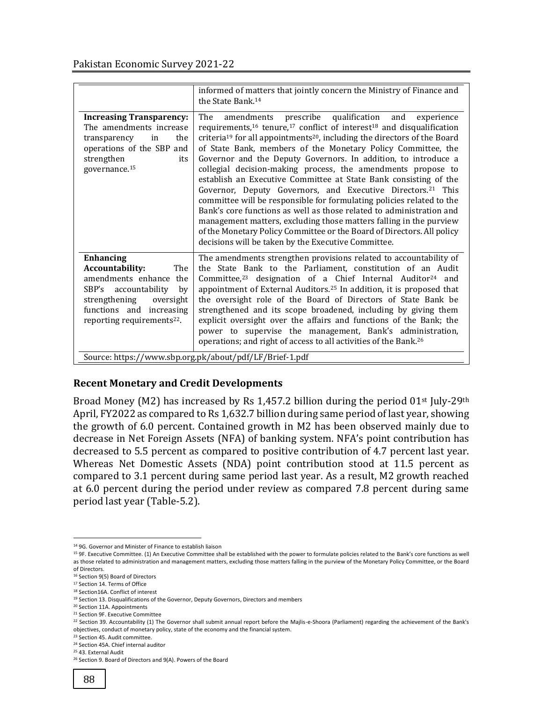|                                                                                                                                                                                                        | informed of matters that jointly concern the Ministry of Finance and<br>the State Bank. <sup>14</sup>                                                                                                                                                                                                                                                                                                                                                                                                                                                                                                                                                                                                                                                                                                                                                                                                                                                            |
|--------------------------------------------------------------------------------------------------------------------------------------------------------------------------------------------------------|------------------------------------------------------------------------------------------------------------------------------------------------------------------------------------------------------------------------------------------------------------------------------------------------------------------------------------------------------------------------------------------------------------------------------------------------------------------------------------------------------------------------------------------------------------------------------------------------------------------------------------------------------------------------------------------------------------------------------------------------------------------------------------------------------------------------------------------------------------------------------------------------------------------------------------------------------------------|
| <b>Increasing Transparency:</b><br>The amendments increase<br>the<br>transparency<br>in<br>operations of the SBP and<br>strengthen<br>its<br>governance. <sup>15</sup>                                 | prescribe qualification<br>The<br>amendments<br>and<br>experience<br>requirements, $16$ tenure, $17$ conflict of interest $18$ and disqualification<br>criteria <sup>19</sup> for all appointments <sup>20</sup> , including the directors of the Board<br>of State Bank, members of the Monetary Policy Committee, the<br>Governor and the Deputy Governors. In addition, to introduce a<br>collegial decision-making process, the amendments propose to<br>establish an Executive Committee at State Bank consisting of the<br>Governor, Deputy Governors, and Executive Directors. <sup>21</sup> This<br>committee will be responsible for formulating policies related to the<br>Bank's core functions as well as those related to administration and<br>management matters, excluding those matters falling in the purview<br>of the Monetary Policy Committee or the Board of Directors. All policy<br>decisions will be taken by the Executive Committee. |
| <b>Enhancing</b><br>Accountability:<br>The<br>amendments enhance the<br>SBP's accountability<br>by<br>strengthening<br>oversight<br>functions and increasing<br>reporting requirements <sup>22</sup> . | The amendments strengthen provisions related to accountability of<br>the State Bank to the Parliament, constitution of an Audit<br>Committee, <sup>23</sup> designation of a Chief Internal Auditor <sup>24</sup> and<br>appointment of External Auditors. <sup>25</sup> In addition, it is proposed that<br>the oversight role of the Board of Directors of State Bank be<br>strengthened and its scope broadened, including by giving them<br>explicit oversight over the affairs and functions of the Bank; the<br>power to supervise the management, Bank's administration,<br>operations; and right of access to all activities of the Bank. <sup>26</sup><br>Source: https://www.sbp.org.pk/about/pdf/LF/Brief-1.pdf                                                                                                                                                                                                                                       |

## **Recent Monetary and Credit Developments**

Broad Money (M2) has increased by Rs 1,457.2 billion during the period  $01<sup>st</sup>$  July-29<sup>th</sup> April, FY2022 as compared to Rs 1,632.7 billion during same period of last year, showing the growth of 6.0 percent. Contained growth in M2 has been observed mainly due to decrease in Net Foreign Assets (NFA) of banking system. NFA's point contribution has decreased to 5.5 percent as compared to positive contribution of 4.7 percent last year. Whereas Net Domestic Assets (NDA) point contribution stood at 11.5 percent as compared to 3.1 percent during same period last year. As a result, M2 growth reached at 6.0 percent during the period under review as compared 7.8 percent during same period last year (Table-5.2).

 $\overline{\phantom{a}}$ <sup>14</sup> 9G. Governor and Minister of Finance to establish liaison

<sup>&</sup>lt;sup>15</sup> 9F. Executive Committee. (1) An Executive Committee shall be established with the power to formulate policies related to the Bank's core functions as well as those related to administration and management matters, excluding those matters falling in the purview of the Monetary Policy Committee, or the Board of Directors.

<sup>16</sup> Section 9(5) Board of Directors

<sup>&</sup>lt;sup>17</sup> Section 14. Terms of Office

<sup>18</sup> Section16A. Conflict of interest

<sup>&</sup>lt;sup>19</sup> Section 13. Disqualifications of the Governor, Deputy Governors, Directors and members

<sup>20</sup> Section 11A. Appointments

<sup>21</sup> Section 9F. Executive Committee

<sup>22</sup> Section 39. Accountability (1) The Governor shall submit annual report before the Majlis-e-Shoora (Parliament) regarding the achievement of the Bank's objectives, conduct of monetary policy, state of the economy and the financial system.

<sup>23</sup> Section 45. Audit committee.

<sup>24</sup> Section 45A. Chief internal auditor

<sup>25</sup> 43. External Audit

<sup>&</sup>lt;sup>26</sup> Section 9. Board of Directors and 9(A). Powers of the Board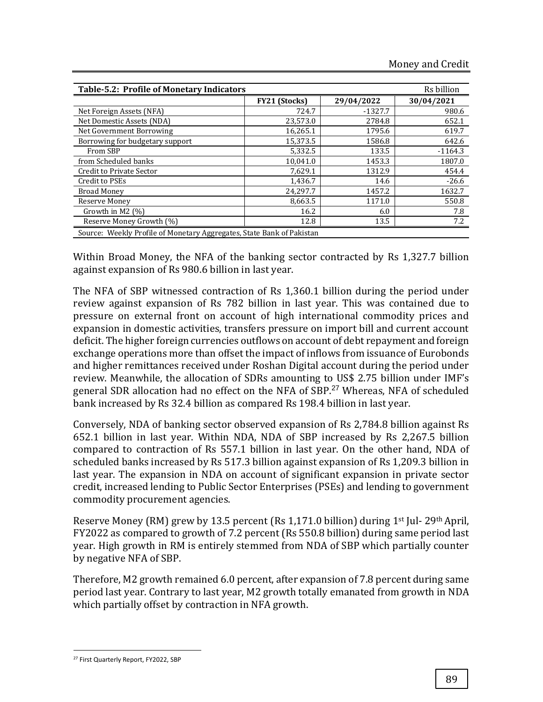| <b>Table-5.2: Profile of Monetary Indicators</b>                      |                      |            | Rs billion |
|-----------------------------------------------------------------------|----------------------|------------|------------|
|                                                                       | <b>FY21 (Stocks)</b> | 29/04/2022 | 30/04/2021 |
| Net Foreign Assets (NFA)                                              | 724.7                | $-1327.7$  | 980.6      |
| Net Domestic Assets (NDA)                                             | 23,573.0             | 2784.8     | 652.1      |
| Net Government Borrowing                                              | 16,265.1             | 1795.6     | 619.7      |
| Borrowing for budgetary support                                       | 15,373.5             | 1586.8     | 642.6      |
| From SBP                                                              | 5,332.5              | 133.5      | $-1164.3$  |
| from Scheduled banks                                                  | 10.041.0             | 1453.3     | 1807.0     |
| Credit to Private Sector                                              | 7,629.1              | 1312.9     | 454.4      |
| Credit to PSEs                                                        | 1,436.7              | 14.6       | $-26.6$    |
| <b>Broad Money</b>                                                    | 24,297.7             | 1457.2     | 1632.7     |
| Reserve Money                                                         | 8,663.5              | 1171.0     | 550.8      |
| Growth in M2 (%)                                                      | 16.2                 | 6.0        | 7.8        |
| Reserve Money Growth (%)                                              | 12.8                 | 13.5       | 7.2        |
| Source: Weekly Profile of Monetary Aggregates, State Bank of Pakistan |                      |            |            |

Within Broad Money, the NFA of the banking sector contracted by Rs 1,327.7 billion against expansion of Rs 980.6 billion in last year.

The NFA of SBP witnessed contraction of Rs 1,360.1 billion during the period under review against expansion of Rs 782 billion in last year. This was contained due to pressure on external front on account of high international commodity prices and expansion in domestic activities, transfers pressure on import bill and current account deficit. The higher foreign currencies outflows on account of debt repayment and foreign exchange operations more than offset the impact of inflows from issuance of Eurobonds and higher remittances received under Roshan Digital account during the period under review. Meanwhile, the allocation of SDRs amounting to US\$ 2.75 billion under IMF's general SDR allocation had no effect on the NFA of SBP.<sup>27</sup> Whereas, NFA of scheduled bank increased by Rs 32.4 billion as compared Rs 198.4 billion in last year.

Conversely, NDA of banking sector observed expansion of Rs 2,784.8 billion against Rs 652.1 billion in last year. Within NDA, NDA of SBP increased by Rs 2,267.5 billion compared to contraction of Rs 557.1 billion in last year. On the other hand, NDA of scheduled banks increased by Rs 517.3 billion against expansion of Rs 1,209.3 billion in last year. The expansion in NDA on account of significant expansion in private sector credit, increased lending to Public Sector Enterprises (PSEs) and lending to government commodity procurement agencies.

Reserve Money (RM) grew by 13.5 percent (Rs 1,171.0 billion) during 1st Jul- 29th April, FY2022 as compared to growth of 7.2 percent (Rs 550.8 billion) during same period last year. High growth in RM is entirely stemmed from NDA of SBP which partially counter by negative NFA of SBP.

Therefore, M2 growth remained 6.0 percent, after expansion of 7.8 percent during same period last year. Contrary to last year, M2 growth totally emanated from growth in NDA which partially offset by contraction in NFA growth.

l

<sup>27</sup> First Quarterly Report, FY2022, SBP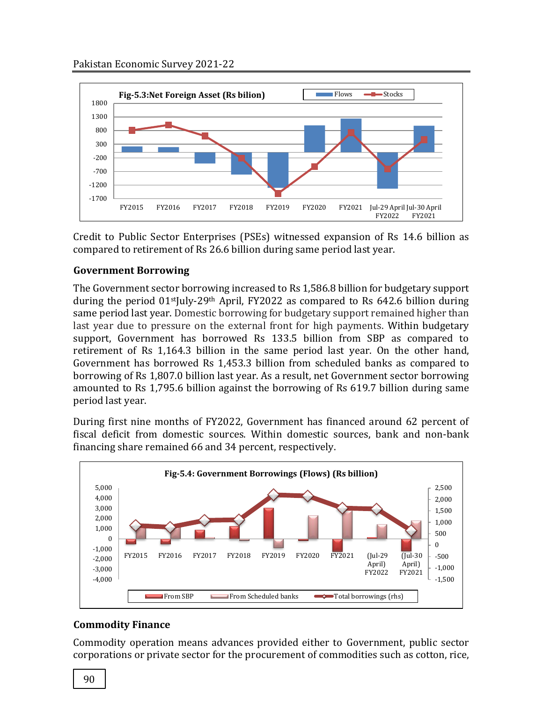

Credit to Public Sector Enterprises (PSEs) witnessed expansion of Rs 14.6 billion as compared to retirement of Rs 26.6 billion during same period last year.

# **Government Borrowing**

The Government sector borrowing increased to Rs 1,586.8 billion for budgetary support during the period 01<sup>st</sup>July-29<sup>th</sup> April, FY2022 as compared to Rs 642.6 billion during same period last year. Domestic borrowing for budgetary support remained higher than last year due to pressure on the external front for high payments. Within budgetary support, Government has borrowed Rs 133.5 billion from SBP as compared to retirement of Rs 1,164.3 billion in the same period last year. On the other hand, Government has borrowed Rs 1,453.3 billion from scheduled banks as compared to borrowing of Rs 1,807.0 billion last year. As a result, net Government sector borrowing amounted to Rs 1,795.6 billion against the borrowing of Rs 619.7 billion during same period last year.

During first nine months of FY2022, Government has financed around 62 percent of fiscal deficit from domestic sources. Within domestic sources, bank and non-bank financing share remained 66 and 34 percent, respectively.



# **Commodity Finance**

Commodity operation means advances provided either to Government, public sector corporations or private sector for the procurement of commodities such as cotton, rice,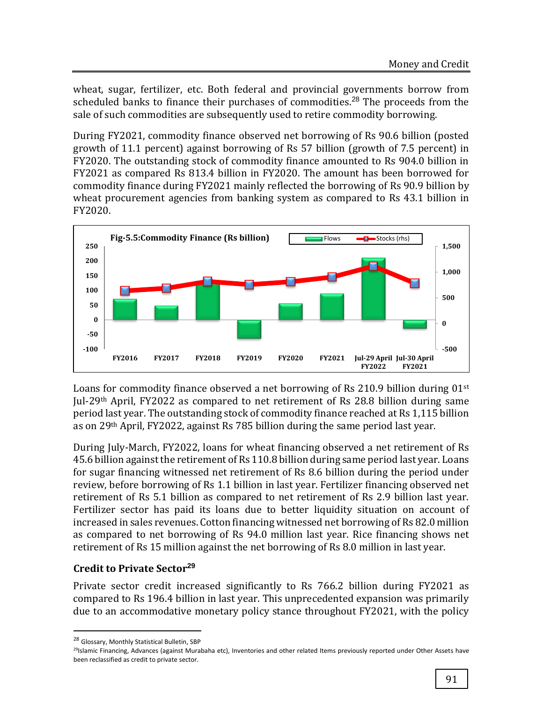wheat, sugar, fertilizer, etc. Both federal and provincial governments borrow from scheduled banks to finance their purchases of commodities.<sup>28</sup> The proceeds from the sale of such commodities are subsequently used to retire commodity borrowing.

During FY2021, commodity finance observed net borrowing of Rs 90.6 billion (posted growth of 11.1 percent) against borrowing of Rs 57 billion (growth of 7.5 percent) in FY2020. The outstanding stock of commodity finance amounted to Rs 904.0 billion in FY2021 as compared Rs 813.4 billion in FY2020. The amount has been borrowed for commodity finance during FY2021 mainly reflected the borrowing of Rs 90.9 billion by wheat procurement agencies from banking system as compared to Rs 43.1 billion in FY2020.



Loans for commodity finance observed a net borrowing of Rs 210.9 billion during 01st Jul-29th April, FY2022 as compared to net retirement of Rs 28.8 billion during same period last year. The outstanding stock of commodity finance reached at Rs 1,115 billion as on 29th April, FY2022, against Rs 785 billion during the same period last year.

During July-March, FY2022, loans for wheat financing observed a net retirement of Rs 45.6 billion against the retirement of Rs 110.8 billion during same period last year. Loans for sugar financing witnessed net retirement of Rs 8.6 billion during the period under review, before borrowing of Rs 1.1 billion in last year. Fertilizer financing observed net retirement of Rs 5.1 billion as compared to net retirement of Rs 2.9 billion last year. Fertilizer sector has paid its loans due to better liquidity situation on account of increased in sales revenues. Cotton financing witnessed net borrowing of Rs 82.0 million as compared to net borrowing of Rs 94.0 million last year. Rice financing shows net retirement of Rs 15 million against the net borrowing of Rs 8.0 million in last year.

# **Credit to Private Sector<sup>29</sup>**

Private sector credit increased significantly to Rs 766.2 billion during FY2021 as compared to Rs 196.4 billion in last year. This unprecedented expansion was primarily due to an accommodative monetary policy stance throughout FY2021, with the policy

 $\overline{\phantom{a}}$ 

<sup>28</sup> Glossary, Monthly Statistical Bulletin, SBP

<sup>&</sup>lt;sup>29</sup>Islamic Financing, Advances (against Murabaha etc), Inventories and other related Items previously reported under Other Assets have been reclassified as credit to private sector.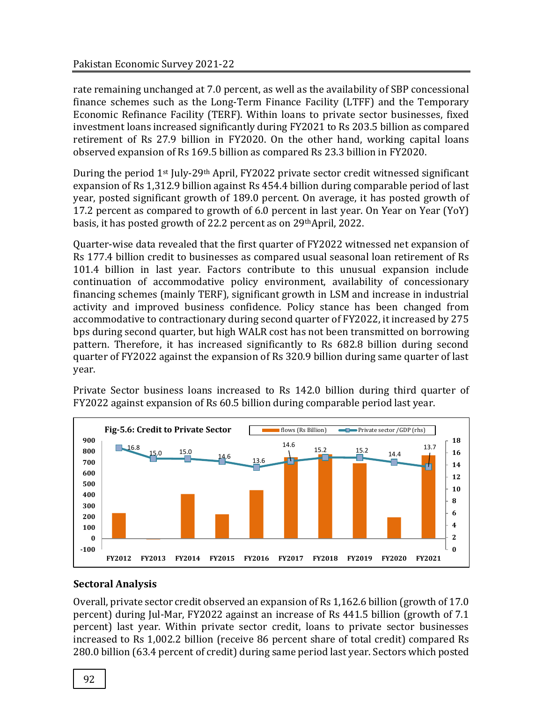rate remaining unchanged at 7.0 percent, as well as the availability of SBP concessional finance schemes such as the Long-Term Finance Facility (LTFF) and the Temporary Economic Refinance Facility (TERF). Within loans to private sector businesses, fixed investment loans increased significantly during FY2021 to Rs 203.5 billion as compared retirement of Rs 27.9 billion in FY2020. On the other hand, working capital loans observed expansion of Rs 169.5 billion as compared Rs 23.3 billion in FY2020.

During the period 1<sup>st</sup> July-29<sup>th</sup> April, FY2022 private sector credit witnessed significant expansion of Rs 1,312.9 billion against Rs 454.4 billion during comparable period of last year, posted significant growth of 189.0 percent. On average, it has posted growth of 17.2 percent as compared to growth of 6.0 percent in last year. On Year on Year (YoY) basis, it has posted growth of 22.2 percent as on 29thApril, 2022.

Quarter-wise data revealed that the first quarter of FY2022 witnessed net expansion of Rs 177.4 billion credit to businesses as compared usual seasonal loan retirement of Rs 101.4 billion in last year. Factors contribute to this unusual expansion include continuation of accommodative policy environment, availability of concessionary financing schemes (mainly TERF), significant growth in LSM and increase in industrial activity and improved business confidence. Policy stance has been changed from accommodative to contractionary during second quarter of FY2022, it increased by 275 bps during second quarter, but high WALR cost has not been transmitted on borrowing pattern. Therefore, it has increased significantly to Rs 682.8 billion during second quarter of FY2022 against the expansion of Rs 320.9 billion during same quarter of last year.



Private Sector business loans increased to Rs 142.0 billion during third quarter of FY2022 against expansion of Rs 60.5 billion during comparable period last year.

## **Sectoral Analysis**

Overall, private sector credit observed an expansion of Rs 1,162.6 billion (growth of 17.0 percent) during Jul-Mar, FY2022 against an increase of Rs 441.5 billion (growth of 7.1 percent) last year. Within private sector credit, loans to private sector businesses increased to Rs 1,002.2 billion (receive 86 percent share of total credit) compared Rs 280.0 billion (63.4 percent of credit) during same period last year. Sectors which posted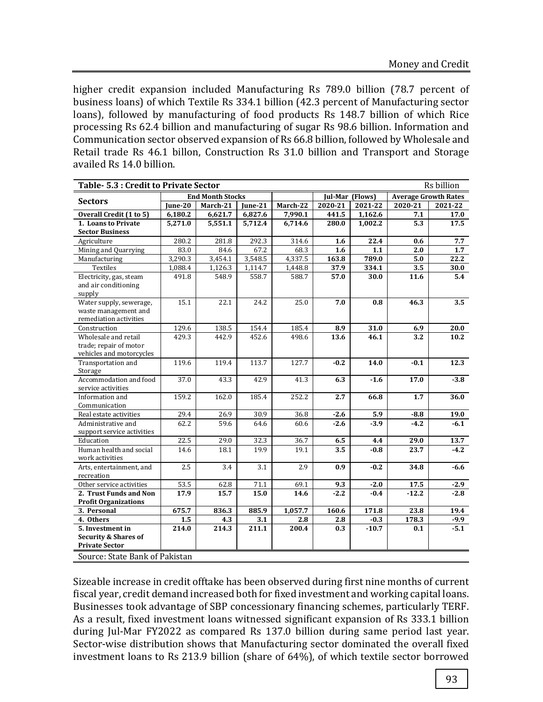higher credit expansion included Manufacturing Rs 789.0 billion (78.7 percent of business loans) of which Textile Rs 334.1 billion (42.3 percent of Manufacturing sector loans), followed by manufacturing of food products Rs 148.7 billion of which Rice processing Rs 62.4 billion and manufacturing of sugar Rs 98.6 billion. Information and Communication sector observed expansion of Rs 66.8 billion, followed by Wholesale and Retail trade Rs 46.1 billon, Construction Rs 31.0 billion and Transport and Storage availed Rs 14.0 billion.

|                                                                              | Rs billion<br>Table- 5.3 : Credit to Private Sector |                         |                                |          |         |                 |                             |         |  |  |  |  |
|------------------------------------------------------------------------------|-----------------------------------------------------|-------------------------|--------------------------------|----------|---------|-----------------|-----------------------------|---------|--|--|--|--|
|                                                                              |                                                     | <b>End Month Stocks</b> |                                |          |         | Jul-Mar (Flows) | <b>Average Growth Rates</b> |         |  |  |  |  |
| <b>Sectors</b>                                                               | June-20                                             | March-21                | June-21                        | March-22 | 2020-21 | 2021-22         | 2020-21                     | 2021-22 |  |  |  |  |
| Overall Credit (1 to 5)                                                      | 6,180.2                                             | 6,621.7                 | 6,827.6                        | 7,990.1  | 441.5   | 1,162.6         | 7.1                         | 17.0    |  |  |  |  |
| 1. Loans to Private                                                          | 5,271.0                                             | 5,551.1                 | 5,712.4                        | 6,714.6  | 280.0   | 1,002.2         | 5.3                         | 17.5    |  |  |  |  |
| <b>Sector Business</b>                                                       |                                                     |                         |                                |          |         |                 |                             |         |  |  |  |  |
| Agriculture                                                                  | 280.2                                               | 281.8                   | 292.3                          | 314.6    | 1.6     | 22.4            | 0.6                         | 7.7     |  |  |  |  |
| Mining and Quarrying                                                         | 83.0                                                | 84.6                    | 67.2                           | 68.3     | 1.6     | 1.1             | 2.0                         | 1.7     |  |  |  |  |
| Manufacturing                                                                | 3,290.3                                             | 3,454.1                 | 3,548.5                        | 4,337.5  | 163.8   | 789.0           | 5.0                         | 22.2    |  |  |  |  |
| Textiles                                                                     | 1,088.4                                             | 1,126.3                 | 1,114.7                        | 1,448.8  | 37.9    | 334.1           | 3.5                         | 30.0    |  |  |  |  |
| Electricity, gas, steam<br>and air conditioning<br>supply                    | 491.8                                               | 548.9                   | 558.7                          | 588.7    | 57.0    | 30.0            | 11.6                        | 5.4     |  |  |  |  |
| Water supply, sewerage,<br>waste management and<br>remediation activities    | 15.1                                                | 22.1                    | 24.2                           | 25.0     | 7.0     | 0.8             | 46.3                        | 3.5     |  |  |  |  |
| Construction                                                                 | 129.6                                               | 138.5                   | 154.4                          | 185.4    | 8.9     | 31.0            | 6.9                         | 20.0    |  |  |  |  |
| Wholesale and retail<br>trade; repair of motor<br>vehicles and motorcycles   | 429.3                                               | 442.9                   | 452.6                          | 498.6    | 13.6    | 46.1            | 3.2                         | 10.2    |  |  |  |  |
| Transportation and<br>Storage                                                | 119.6                                               | 119.4                   | 113.7                          | 127.7    | $-0.2$  | 14.0            | $-0.1$                      | 12.3    |  |  |  |  |
| Accommodation and food<br>service activities                                 | 37.0                                                | 43.3                    | 42.9                           | 41.3     | 6.3     | $-1.6$          | 17.0                        | $-3.8$  |  |  |  |  |
| Information and<br>Communication                                             | 159.2                                               | 162.0                   | 185.4                          | 252.2    | 2.7     | 66.8            | 1.7                         | 36.0    |  |  |  |  |
| Real estate activities                                                       | 29.4                                                | 26.9                    | 30.9                           | 36.8     | $-2.6$  | 5.9             | $-8.8$                      | 19.0    |  |  |  |  |
| Administrative and<br>support service activities                             | 62.2                                                | 59.6                    | 64.6                           | 60.6     | $-2.6$  | $-3.9$          | $-4.2$                      | $-6.1$  |  |  |  |  |
| Education                                                                    | 22.5                                                | 29.0                    | 32.3                           | 36.7     | 6.5     | 4.4             | 29.0                        | 13.7    |  |  |  |  |
| Human health and social<br>work activities                                   | 14.6                                                | 18.1                    | 19.9                           | 19.1     | 3.5     | $-0.8$          | 23.7                        | $-4.2$  |  |  |  |  |
| Arts, entertainment, and<br>recreation                                       | 2.5                                                 | 3.4                     | 3.1                            | 2.9      | 0.9     | $-0.2$          | 34.8                        | $-6.6$  |  |  |  |  |
| Other service activities                                                     | 53.5                                                | 62.8                    | 71.1                           | 69.1     | 9.3     | $-2.0$          | 17.5                        | $-2.9$  |  |  |  |  |
| 2. Trust Funds and Non                                                       | 17.9                                                | 15.7                    | 15.0                           | 14.6     | $-2.2$  | $-0.4$          | $-12.2$                     | $-2.8$  |  |  |  |  |
| <b>Profit Organizations</b>                                                  |                                                     |                         |                                |          |         |                 |                             |         |  |  |  |  |
| 3. Personal                                                                  | 675.7                                               | 836.3                   | 885.9                          | 1,057.7  | 160.6   | 171.8           | 23.8                        | 19.4    |  |  |  |  |
| 4. Others                                                                    | 1.5                                                 | 4.3                     | 3.1                            | 2.8      | 2.8     | $-0.3$          | 178.3                       | $-9.9$  |  |  |  |  |
| 5. Investment in<br><b>Security &amp; Shares of</b><br><b>Private Sector</b> | 214.0                                               | 214.3                   | 211.1                          | 200.4    | 0.3     | $-10.7$         | 0.1                         | $-5.1$  |  |  |  |  |
|                                                                              |                                                     |                         | Source: State Bank of Pakistan |          |         |                 |                             |         |  |  |  |  |

Sizeable increase in credit offtake has been observed during first nine months of current fiscal year, credit demand increased both for fixed investment and working capital loans. Businesses took advantage of SBP concessionary financing schemes, particularly TERF. As a result, fixed investment loans witnessed significant expansion of Rs 333.1 billion during Jul-Mar FY2022 as compared Rs 137.0 billion during same period last year. Sector-wise distribution shows that Manufacturing sector dominated the overall fixed investment loans to Rs 213.9 billion (share of 64%), of which textile sector borrowed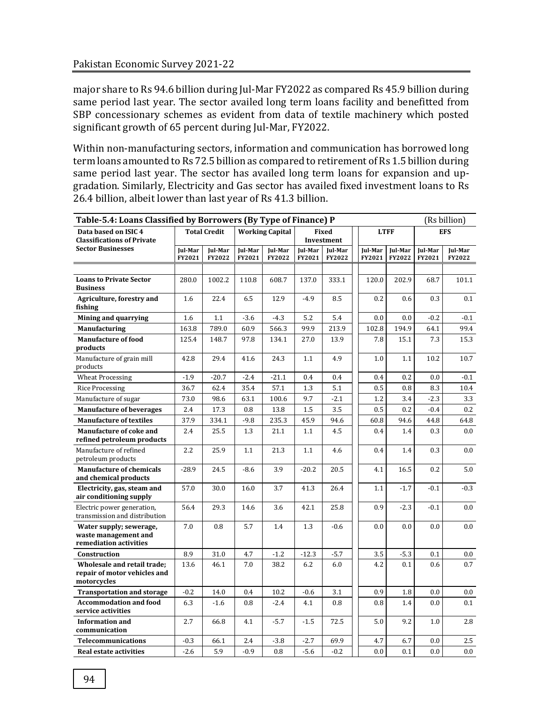major share to Rs 94.6 billion during Jul-Mar FY2022 as compared Rs 45.9 billion during same period last year. The sector availed long term loans facility and benefitted from SBP concessionary schemes as evident from data of textile machinery which posted significant growth of 65 percent during Jul-Mar, FY2022.

Within non-manufacturing sectors, information and communication has borrowed long term loans amounted to Rs 72.5 billion as compared to retirement of Rs 1.5 billion during same period last year. The sector has availed long term loans for expansion and upgradation. Similarly, Electricity and Gas sector has availed fixed investment loans to Rs 26.4 billion, albeit lower than last year of Rs 41.3 billion.

| Table-5.4: Loans Classified by Borrowers (By Type of Finance) P            |                   |                     |                   |                        |                   |                            |  |                   |                   | (Rs billion)      |                   |
|----------------------------------------------------------------------------|-------------------|---------------------|-------------------|------------------------|-------------------|----------------------------|--|-------------------|-------------------|-------------------|-------------------|
| Data based on ISIC 4<br><b>Classifications of Private</b>                  |                   | <b>Total Credit</b> |                   | <b>Working Capital</b> |                   | <b>Fixed</b><br>Investment |  |                   | <b>LTFF</b>       |                   | <b>EFS</b>        |
| <b>Sector Businesses</b>                                                   | Jul-Mar<br>FY2021 | Jul-Mar<br>FY2022   | Jul-Mar<br>FY2021 | Jul-Mar<br>FY2022      | Jul-Mar<br>FY2021 | Jul-Mar<br>FY2022          |  | Jul-Mar<br>FY2021 | Jul-Mar<br>FY2022 | Jul-Mar<br>FY2021 | Jul-Mar<br>FY2022 |
|                                                                            |                   |                     |                   |                        |                   |                            |  |                   |                   |                   |                   |
| <b>Loans to Private Sector</b><br><b>Business</b>                          | 280.0             | 1002.2              | 110.8             | 608.7                  | 137.0             | 333.1                      |  | 120.0             | 202.9             | 68.7              | 101.1             |
| Agriculture, forestry and<br>fishing                                       | 1.6               | 22.4                | 6.5               | 12.9                   | $-4.9$            | 8.5                        |  | 0.2               | 0.6               | 0.3               | 0.1               |
| Mining and quarrying                                                       | 1.6               | 1.1                 | $-3.6$            | $-4.3$                 | 5.2               | 5.4                        |  | 0.0               | 0.0               | $-0.2$            | $-0.1$            |
| <b>Manufacturing</b>                                                       | 163.8             | 789.0               | 60.9              | 566.3                  | 99.9              | 213.9                      |  | 102.8             | 194.9             | 64.1              | 99.4              |
| <b>Manufacture of food</b><br>products                                     | 125.4             | 148.7               | 97.8              | 134.1                  | 27.0              | 13.9                       |  | 7.8               | 15.1              | 7.3               | 15.3              |
| Manufacture of grain mill<br>products                                      | 42.8              | 29.4                | 41.6              | 24.3                   | 1.1               | 4.9                        |  | 1.0               | 1.1               | 10.2              | 10.7              |
| <b>Wheat Processing</b>                                                    | $-1.9$            | $-20.7$             | $-2.4$            | $-21.1$                | 0.4               | 0.4                        |  | 0.4               | 0.2               | 0.0               | $-0.1$            |
| <b>Rice Processing</b>                                                     | 36.7              | 62.4                | 35.4              | 57.1                   | 1.3               | 5.1                        |  | 0.5               | 0.8               | 8.3               | 10.4              |
| Manufacture of sugar                                                       | 73.0              | 98.6                | 63.1              | 100.6                  | 9.7               | $-2.1$                     |  | 1.2               | 3.4               | $-2.3$            | 3.3               |
| <b>Manufacture of beverages</b>                                            | 2.4               | 17.3                | 0.8               | 13.8                   | 1.5               | 3.5                        |  | 0.5               | 0.2               | $-0.4$            | 0.2               |
| <b>Manufacture of textiles</b>                                             | 37.9              | 334.1               | $-9.8$            | 235.3                  | 45.9              | 94.6                       |  | 60.8              | 94.6              | 44.8              | 64.8              |
| <b>Manufacture of coke and</b><br>refined petroleum products               | 2.4               | 25.5                | 1.3               | 21.1                   | 1.1               | 4.5                        |  | 0.4               | 1.4               | 0.3               | 0.0               |
| Manufacture of refined<br>petroleum products                               | 2.2               | 25.9                | 1.1               | 21.3                   | 1.1               | 4.6                        |  | 0.4               | 1.4               | 0.3               | 0.0               |
| <b>Manufacture of chemicals</b><br>and chemical products                   | $-28.9$           | 24.5                | $-8.6$            | 3.9                    | $-20.2$           | 20.5                       |  | 4.1               | 16.5              | 0.2               | 5.0               |
| Electricity, gas, steam and<br>air conditioning supply                     | 57.0              | 30.0                | 16.0              | 3.7                    | 41.3              | 26.4                       |  | 1.1               | $-1.7$            | $-0.1$            | $-0.3$            |
| Electric power generation.<br>transmission and distribution                | 56.4              | 29.3                | 14.6              | 3.6                    | 42.1              | 25.8                       |  | 0.9               | $-2.3$            | $-0.1$            | 0.0               |
| Water supply; sewerage,<br>waste management and<br>remediation activities  | 7.0               | 0.8                 | 5.7               | 1.4                    | 1.3               | $-0.6$                     |  | 0.0               | 0.0               | 0.0               | 0.0               |
| Construction                                                               | 8.9               | 31.0                | 4.7               | $-1.2$                 | $-12.3$           | $-5.7$                     |  | $3.5\,$           | $-5.3$            | 0.1               | 0.0               |
| Wholesale and retail trade;<br>repair of motor vehicles and<br>motorcycles | 13.6              | 46.1                | 7.0               | 38.2                   | 6.2               | 6.0                        |  | 4.2               | 0.1               | 0.6               | 0.7               |
| <b>Transportation and storage</b>                                          | $-0.2$            | 14.0                | 0.4               | 10.2                   | $-0.6$            | 3.1                        |  | 0.9               | 1.8               | $0.0\,$           | 0.0               |
| <b>Accommodation and food</b><br>service activities                        | 6.3               | $-1.6$              | 0.8               | $-2.4$                 | 4.1               | 0.8                        |  | 0.8               | 1.4               | 0.0               | 0.1               |
| <b>Information and</b><br>communication                                    | 2.7               | 66.8                | 4.1               | $-5.7$                 | $-1.5$            | 72.5                       |  | 5.0               | 9.2               | 1.0               | 2.8               |
| <b>Telecommunications</b>                                                  | $-0.3$            | 66.1                | 2.4               | $-3.8$                 | $-2.7$            | 69.9                       |  | 4.7               | 6.7               | 0.0               | 2.5               |
| Real estate activities                                                     | $-2.6$            | 5.9                 | $-0.9$            | 0.8                    | $-5.6$            | $-0.2$                     |  | $0.0\,$           | 0.1               | 0.0               | 0.0               |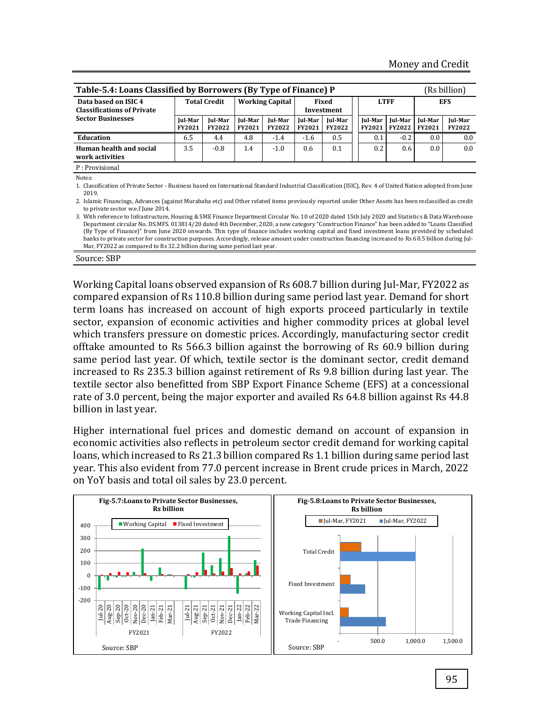| Table-5.4: Loans Classified by Borrowers (By Type of Finance) P<br>(Rs billion)                                                                                                                                                                                                                                                                                                                                                                                                                                                                                                                                                                                                         |                     |                          |                          |                          |                            |                          |  |                   |                          |                                 |                          |
|-----------------------------------------------------------------------------------------------------------------------------------------------------------------------------------------------------------------------------------------------------------------------------------------------------------------------------------------------------------------------------------------------------------------------------------------------------------------------------------------------------------------------------------------------------------------------------------------------------------------------------------------------------------------------------------------|---------------------|--------------------------|--------------------------|--------------------------|----------------------------|--------------------------|--|-------------------|--------------------------|---------------------------------|--------------------------|
| Data based on ISIC 4<br><b>Classifications of Private</b>                                                                                                                                                                                                                                                                                                                                                                                                                                                                                                                                                                                                                               | <b>Total Credit</b> |                          | <b>Working Capital</b>   |                          | <b>Fixed</b><br>Investment |                          |  | <b>LTFF</b>       |                          | <b>EFS</b>                      |                          |
| <b>Sector Businesses</b>                                                                                                                                                                                                                                                                                                                                                                                                                                                                                                                                                                                                                                                                | Jul-Mar<br>FY2021   | Jul-Mar<br><b>FY2022</b> | Jul-Mar<br><b>FY2021</b> | Jul-Mar<br><b>FY2022</b> | Jul-Mar<br><b>FY2021</b>   | Jul-Mar<br><b>FY2022</b> |  | Jul-Mar<br>FY2021 | Jul-Mar<br><b>FY2022</b> | <b>Iul-Mar</b><br><b>FY2021</b> | Jul-Mar<br><b>FY2022</b> |
| Education                                                                                                                                                                                                                                                                                                                                                                                                                                                                                                                                                                                                                                                                               | 6.5                 | 4.4                      | 4.8                      | $-1.4$                   | $-1.6$                     | 0.5                      |  | 0.1               | $-0.2$                   | 0.0                             | 0.0                      |
| Human health and social<br>work activities                                                                                                                                                                                                                                                                                                                                                                                                                                                                                                                                                                                                                                              | 3.5                 | $-0.8$                   | 1.4                      | $-1.0$                   | 0.6                        | 0.1                      |  | 0.2               | 0.6                      | 0.0                             | 0.0                      |
| P: Provisional                                                                                                                                                                                                                                                                                                                                                                                                                                                                                                                                                                                                                                                                          |                     |                          |                          |                          |                            |                          |  |                   |                          |                                 |                          |
| Notes:<br>1. Classification of Private Sector - Business based on International Standard Industrial Classification (ISIC), Rev. 4 of United Nation adopted from June<br>2019.                                                                                                                                                                                                                                                                                                                                                                                                                                                                                                           |                     |                          |                          |                          |                            |                          |  |                   |                          |                                 |                          |
| 2. Islamic Financings, Advances (against Murabaha etc) and Other related items previously reported under Other Assets has been reclassified as credit<br>to private sector w.e.f June 2014.                                                                                                                                                                                                                                                                                                                                                                                                                                                                                             |                     |                          |                          |                          |                            |                          |  |                   |                          |                                 |                          |
| 3. With reference to Infrastructure, Housing & SME Finance Department Circular No. 10 of 2020 dated 15th July 2020 and Statistics & Data Warehouse<br>Department circular No. DS.MFS. 013814/20 dated 4th December, 2020, a new category "Construction Finance" has been added to "Loans Classified<br>(By Type of Finance)" from June 2020 onwards. This type of finance includes working capital and fixed investment loans provided by scheduled<br>banks to private sector for construction purposes. Accordingly, release amount under construction financing increased to Rs 60.5 billion during Jul-<br>Mar, FY2022 as compared to Rs 32.2 billion during same period last year. |                     |                          |                          |                          |                            |                          |  |                   |                          |                                 |                          |

Source: SBP

Working Capital loans observed expansion of Rs 608.7 billion during Jul-Mar, FY2022 as compared expansion of Rs 110.8 billion during same period last year. Demand for short term loans has increased on account of high exports proceed particularly in textile sector, expansion of economic activities and higher commodity prices at global level which transfers pressure on domestic prices. Accordingly, manufacturing sector credit offtake amounted to Rs 566.3 billion against the borrowing of Rs 60.9 billion during same period last year. Of which, textile sector is the dominant sector, credit demand increased to Rs 235.3 billion against retirement of Rs 9.8 billion during last year. The textile sector also benefitted from SBP Export Finance Scheme (EFS) at a concessional rate of 3.0 percent, being the major exporter and availed Rs 64.8 billion against Rs 44.8 billion in last year.

Higher international fuel prices and domestic demand on account of expansion in economic activities also reflects in petroleum sector credit demand for working capital loans, which increased to Rs 21.3 billion compared Rs 1.1 billion during same period last year. This also evident from 77.0 percent increase in Brent crude prices in March, 2022 on YoY basis and total oil sales by 23.0 percent.

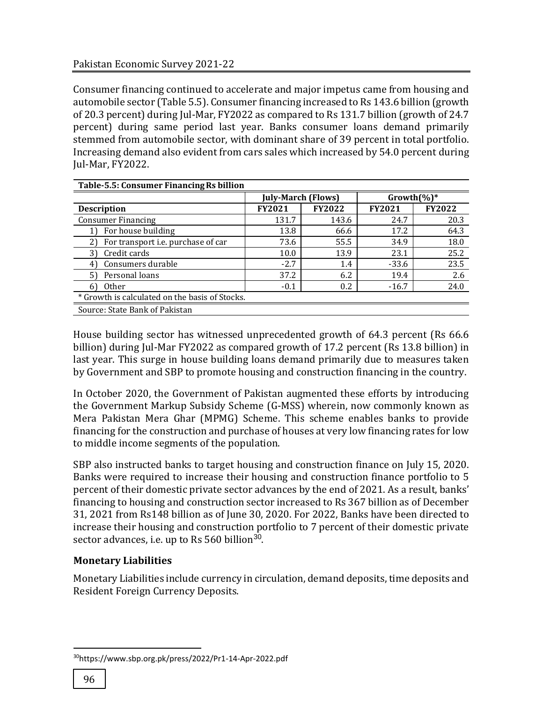Consumer financing continued to accelerate and major impetus came from housing and automobile sector (Table 5.5). Consumer financing increased to Rs 143.6 billion (growth of 20.3 percent) during Jul-Mar, FY2022 as compared to Rs 131.7 billion (growth of 24.7 percent) during same period last year. Banks consumer loans demand primarily stemmed from automobile sector, with dominant share of 39 percent in total portfolio. Increasing demand also evident from cars sales which increased by 54.0 percent during Jul-Mar, FY2022.

| Table-5.5: Consumer Financing Rs billion       |                           |               |                 |               |  |
|------------------------------------------------|---------------------------|---------------|-----------------|---------------|--|
|                                                | <b>July-March (Flows)</b> |               | Growth $(\%)^*$ |               |  |
| <b>Description</b>                             | <b>FY2021</b>             | <b>FY2022</b> | <b>FY2021</b>   | <b>FY2022</b> |  |
| <b>Consumer Financing</b>                      | 131.7                     | 143.6         | 24.7            | 20.3          |  |
| For house building                             | 13.8                      | 66.6          | 17.2            | 64.3          |  |
| For transport <i>i.e.</i> purchase of car      | 73.6                      | 55.5          | 34.9            | 18.0          |  |
| Credit cards                                   | 10.0                      | 13.9          | 23.1            | 25.2          |  |
| Consumers durable                              | $-2.7$                    | 1.4           | $-33.6$         | 23.5          |  |
| Personal loans                                 | 37.2                      | 6.2           | 19.4            | 2.6           |  |
| 0ther<br>61                                    | $-0.1$                    | 0.2           | $-16.7$         | 24.0          |  |
| * Growth is calculated on the basis of Stocks. |                           |               |                 |               |  |
| Source: State Bank of Pakistan                 |                           |               |                 |               |  |

House building sector has witnessed unprecedented growth of 64.3 percent (Rs 66.6 billion) during Jul-Mar FY2022 as compared growth of 17.2 percent (Rs 13.8 billion) in last year. This surge in house building loans demand primarily due to measures taken by Government and SBP to promote housing and construction financing in the country.

In October 2020, the Government of Pakistan augmented these efforts by introducing the Government Markup Subsidy Scheme (G-MSS) wherein, now commonly known as Mera Pakistan Mera Ghar (MPMG) Scheme. This scheme enables banks to provide financing for the construction and purchase of houses at very low financing rates for low to middle income segments of the population.

SBP also instructed banks to target housing and construction finance on July 15, 2020. Banks were required to increase their housing and construction finance portfolio to 5 percent of their domestic private sector advances by the end of 2021. As a result, banks' financing to housing and construction sector increased to Rs 367 billion as of December 31, 2021 from Rs148 billion as of June 30, 2020. For 2022, Banks have been directed to increase their housing and construction portfolio to 7 percent of their domestic private sector advances, i.e. up to Rs 560 billion<sup>30</sup>.

# **Monetary Liabilities**

Monetary Liabilities include currency in circulation, demand deposits, time deposits and Resident Foreign Currency Deposits.

 $\overline{\phantom{a}}$ 

<sup>30</sup>https://www.sbp.org.pk/press/2022/Pr1-14-Apr-2022.pdf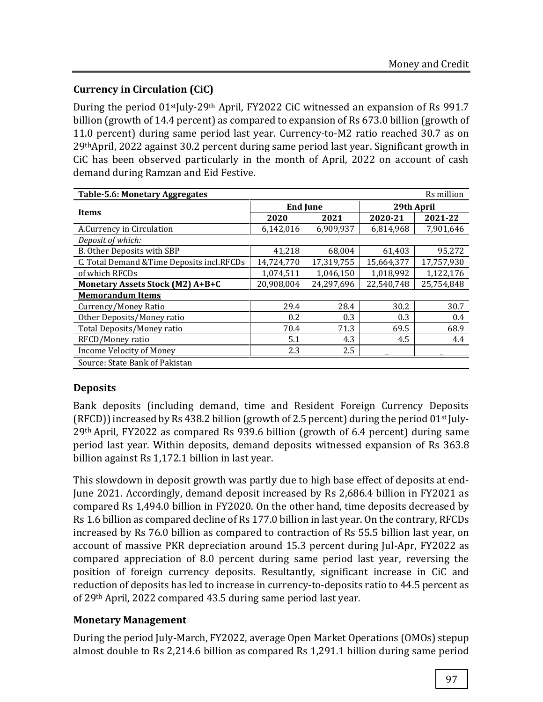# **Currency in Circulation (CiC)**

During the period 01<sup>st</sup>July-29<sup>th</sup> April, FY2022 CiC witnessed an expansion of Rs 991.7 billion (growth of 14.4 percent) as compared to expansion of Rs 673.0 billion (growth of 11.0 percent) during same period last year. Currency-to-M2 ratio reached 30.7 as on 29thApril, 2022 against 30.2 percent during same period last year. Significant growth in CiC has been observed particularly in the month of April, 2022 on account of cash demand during Ramzan and Eid Festive.

| Rs million<br><b>Table-5.6: Monetary Aggregates</b> |                 |            |            |            |  |  |  |  |
|-----------------------------------------------------|-----------------|------------|------------|------------|--|--|--|--|
|                                                     | <b>End June</b> |            | 29th April |            |  |  |  |  |
| Items                                               | 2020            | 2021       | 2020-21    | 2021-22    |  |  |  |  |
| A.Currency in Circulation                           | 6,142,016       | 6,909,937  | 6,814,968  | 7,901,646  |  |  |  |  |
| Deposit of which:                                   |                 |            |            |            |  |  |  |  |
| B. Other Deposits with SBP                          | 41,218          | 68,004     | 61,403     | 95,272     |  |  |  |  |
| C. Total Demand & Time Deposits incl.RFCDs          | 14,724,770      | 17,319,755 | 15,664,377 | 17,757,930 |  |  |  |  |
| of which RFCDs                                      | 1,074,511       | 1,046,150  | 1,018,992  | 1,122,176  |  |  |  |  |
| Monetary Assets Stock (M2) A+B+C                    | 20,908,004      | 24,297,696 | 22,540,748 | 25,754,848 |  |  |  |  |
| <b>Memorandum Items</b>                             |                 |            |            |            |  |  |  |  |
| Currency/Money Ratio                                | 29.4            | 28.4       | 30.2       | 30.7       |  |  |  |  |
| Other Deposits/Money ratio                          | 0.2             | 0.3        | 0.3        | 0.4        |  |  |  |  |
| Total Deposits/Money ratio                          | 70.4            | 71.3       | 69.5       | 68.9       |  |  |  |  |
| RFCD/Money ratio                                    | 5.1             | 4.3        | 4.5        | 4.4        |  |  |  |  |
| <b>Income Velocity of Money</b>                     | 2.3             | 2.5        |            |            |  |  |  |  |
| Source: State Bank of Pakistan                      |                 |            |            |            |  |  |  |  |

# **Deposits**

Bank deposits (including demand, time and Resident Foreign Currency Deposits (RFCD)) increased by Rs 438.2 billion (growth of 2.5 percent) during the period 01st July-29th April, FY2022 as compared Rs 939.6 billion (growth of 6.4 percent) during same period last year. Within deposits, demand deposits witnessed expansion of Rs 363.8 billion against Rs 1,172.1 billion in last year.

This slowdown in deposit growth was partly due to high base effect of deposits at end-June 2021. Accordingly, demand deposit increased by Rs 2,686.4 billion in FY2021 as compared Rs 1,494.0 billion in FY2020. On the other hand, time deposits decreased by Rs 1.6 billion as compared decline of Rs 177.0 billion in last year. On the contrary, RFCDs increased by Rs 76.0 billion as compared to contraction of Rs 55.5 billion last year, on account of massive PKR depreciation around 15.3 percent during Jul-Apr, FY2022 as compared appreciation of 8.0 percent during same period last year, reversing the position of foreign currency deposits. Resultantly, significant increase in CiC and reduction of deposits has led to increase in currency-to-deposits ratio to 44.5 percent as of 29th April, 2022 compared 43.5 during same period last year.

# **Monetary Management**

During the period July-March, FY2022, average Open Market Operations (OMOs) stepup almost double to Rs 2,214.6 billion as compared Rs 1,291.1 billion during same period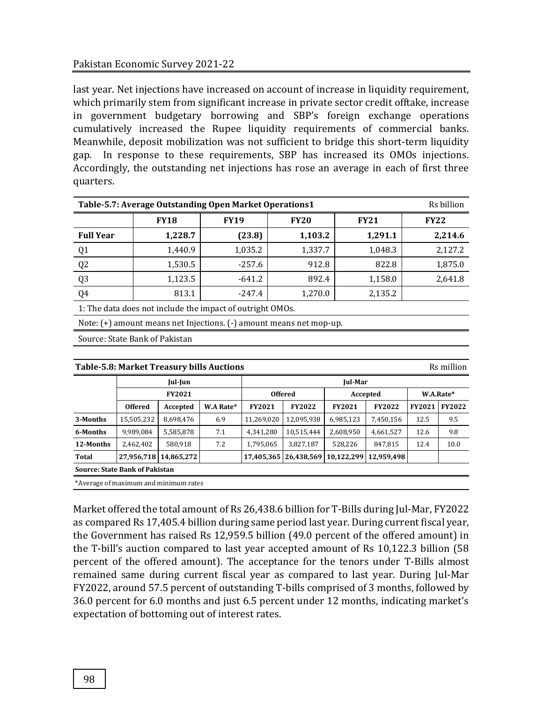last year. Net injections have increased on account of increase in liquidity requirement, which primarily stem from significant increase in private sector credit offtake, increase in government budgetary borrowing and SBP's foreign exchange operations cumulatively increased the Rupee liquidity requirements of commercial banks. Meanwhile, deposit mobilization was not sufficient to bridge this short-term liquidity gap. In response to these requirements, SBP has increased its OMOs injections. Accordingly, the outstanding net injections has rose an average in each of first three quarters.

| Rs billion<br>Table-5.7: Average Outstanding Open Market Operations1 |                                                           |          |         |         |         |  |  |  |  |  |  |
|----------------------------------------------------------------------|-----------------------------------------------------------|----------|---------|---------|---------|--|--|--|--|--|--|
|                                                                      | <b>FY18</b><br><b>FY19</b><br><b>FY20</b><br><b>FY21</b>  |          |         |         |         |  |  |  |  |  |  |
| <b>Full Year</b>                                                     | 1,228.7                                                   | (23.8)   | 1,103.2 | 1,291.1 | 2,214.6 |  |  |  |  |  |  |
| Q1                                                                   | 1,440.9                                                   | 1,035.2  | 1,337.7 | 1,048.3 | 2,127.2 |  |  |  |  |  |  |
| Q2                                                                   | 1,530.5                                                   | $-257.6$ | 912.8   | 822.8   | 1,875.0 |  |  |  |  |  |  |
| $\sqrt{0.3}$                                                         | 1,123.5                                                   | $-641.2$ | 892.4   | 1,158.0 | 2,641.8 |  |  |  |  |  |  |
| Q4                                                                   | 813.1                                                     | $-247.4$ | 1,270.0 | 2,135.2 |         |  |  |  |  |  |  |
|                                                                      | 1: The data does not include the impact of outright OMOs. |          |         |         |         |  |  |  |  |  |  |

Note: (+) amount means net Injections. (-) amount means net mop-up.

Source: State Bank of Pakistan

|           | <b>Table-5.8: Market Treasury bills Auctions</b><br>Rs million |            |           |               |                         |               |               |               |               |  |  |
|-----------|----------------------------------------------------------------|------------|-----------|---------------|-------------------------|---------------|---------------|---------------|---------------|--|--|
|           |                                                                | Jul-Jun    |           |               | Jul-Mar                 |               |               |               |               |  |  |
|           | <b>FY2021</b>                                                  |            |           |               | <b>Offered</b>          |               | Accepted      | W.A.Rate*     |               |  |  |
|           | <b>Offered</b>                                                 | Accepted   | W.A Rate* | <b>FY2021</b> | <b>FY2022</b>           | <b>FY2021</b> | <b>FY2022</b> | <b>FY2021</b> | <b>FY2022</b> |  |  |
| 3-Months  | 15,505,232                                                     | 8,698,476  | 6.9       | 11,269,020    | 12,095,938              | 6,985,123     | 7,450,156     | 12.5          | 9.5           |  |  |
| 6-Months  | 9,989,084                                                      | 5,585,878  | 7.1       | 4,341,280     | 10,515,444              | 2,608,950     | 4,661,527     | 12.6          | 9.8           |  |  |
| 12-Months | 2,462,402                                                      | 580,918    | 7.2       | 1,795,065     | 3,827,187               | 528,226       | 847,815       | 12.4          | 10.0          |  |  |
| Total     | 27,956,718                                                     | 14,865,272 |           |               | 17,405,365   26,438,569 | 10,122,299    | 12.959.498    |               |               |  |  |
|           | <b>Source: State Bank of Pakistan</b>                          |            |           |               |                         |               |               |               |               |  |  |

\*Average of maximum and minimum rates

Market offered the total amount of Rs 26,438.6 billion for T-Bills during Jul-Mar, FY2022 as compared Rs 17,405.4 billion during same period last year. During current fiscal year, the Government has raised Rs 12,959.5 billion (49.0 percent of the offered amount) in the T-bill's auction compared to last year accepted amount of Rs 10,122.3 billion (58 percent of the offered amount). The acceptance for the tenors under T-Bills almost remained same during current fiscal year as compared to last year. During Jul-Mar FY2022, around 57.5 percent of outstanding T-bills comprised of 3 months, followed by 36.0 percent for 6.0 months and just 6.5 percent under 12 months, indicating market's expectation of bottoming out of interest rates.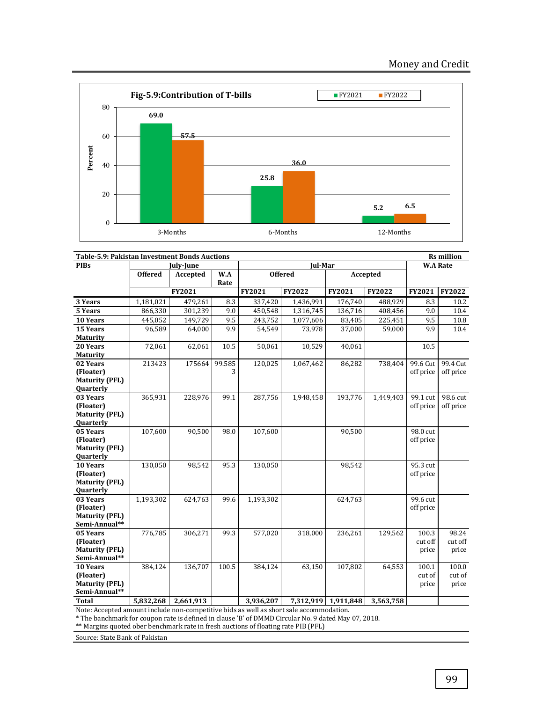

| Table-5.9: Pakistan Investment Bonds Auctions |                |           |        |           |                |                     |               | <b>Rs</b> million |               |
|-----------------------------------------------|----------------|-----------|--------|-----------|----------------|---------------------|---------------|-------------------|---------------|
| <b>PIBs</b>                                   |                | July-June |        |           | Jul-Mar        |                     |               | <b>W.A Rate</b>   |               |
|                                               | <b>Offered</b> | Accepted  | W.A    |           | <b>Offered</b> |                     | Accepted      |                   |               |
|                                               |                |           | Rate   |           |                |                     |               |                   |               |
|                                               |                | FY2021    |        | FY2021    | <b>FY2022</b>  | <b>FY2021</b>       | <b>FY2022</b> | <b>FY2021</b>     | <b>FY2022</b> |
| 3 Years                                       | 1,181,021      | 479,261   | 8.3    | 337,420   | 1,436,991      | 176,740             | 488,929       | 8.3               | 10.2          |
| 5 Years                                       | 866,330        | 301,239   | 9.0    | 450,548   | 1,316,745      | 136,716             | 408,456       | 9.0               | 10.4          |
| 10 Years                                      | 445,052        | 149,729   | 9.5    | 243,752   | 1,077,606      | 83,405              | 225,451       | 9.5               | 10.8          |
| 15 Years                                      | 96,589         | 64,000    | 9.9    | 54,549    | 73,978         | 37,000              | 59,000        | 9.9               | 10.4          |
| <b>Maturity</b>                               |                |           |        |           |                |                     |               |                   |               |
| 20 Years                                      | 72,061         | 62,061    | 10.5   | 50,061    | 10,529         | 40,061              |               | 10.5              |               |
| <b>Maturity</b>                               |                |           |        |           |                |                     |               |                   |               |
| 02 Years                                      | 213423         | 175664    | 99.585 | 120,025   | 1,067,462      | 86,282              | 738,404       | 99.6 Cut          | 99.4 Cut      |
| (Floater)                                     |                |           | 3      |           |                |                     |               | off price         | off price     |
| <b>Maturity (PFL)</b>                         |                |           |        |           |                |                     |               |                   |               |
| Quarterly                                     |                |           |        |           |                |                     |               |                   |               |
| 03 Years                                      | 365,931        | 228,976   | 99.1   | 287,756   | 1,948,458      | 193,776             | 1,449,403     | 99.1 cut          | 98.6 cut      |
| (Floater)                                     |                |           |        |           |                |                     |               | off price         | off price     |
| <b>Maturity (PFL)</b>                         |                |           |        |           |                |                     |               |                   |               |
| Quarterly<br>05 Years                         |                |           |        |           |                |                     |               | 98.0 cut          |               |
| (Floater)                                     | 107,600        | 90,500    | 98.0   | 107,600   |                | 90,500              |               |                   |               |
| <b>Maturity (PFL)</b>                         |                |           |        |           |                |                     |               | off price         |               |
| Quarterly                                     |                |           |        |           |                |                     |               |                   |               |
| 10 Years                                      | 130,050        | 98,542    | 95.3   | 130,050   |                | 98,542              |               | 95.3 cut          |               |
| (Floater)                                     |                |           |        |           |                |                     |               | off price         |               |
| <b>Maturity (PFL)</b>                         |                |           |        |           |                |                     |               |                   |               |
| Quarterly                                     |                |           |        |           |                |                     |               |                   |               |
| 03 Years                                      | 1,193,302      | 624,763   | 99.6   | 1,193,302 |                | 624,763             |               | 99.6 cut          |               |
| (Floater)                                     |                |           |        |           |                |                     |               | off price         |               |
| <b>Maturity (PFL)</b>                         |                |           |        |           |                |                     |               |                   |               |
| Semi-Annual**                                 |                |           |        |           |                |                     |               |                   |               |
| 05 Years                                      | 776,785        | 306,271   | 99.3   | 577,020   | 318,000        | 236,261             | 129,562       | 100.3             | 98.24         |
| (Floater)                                     |                |           |        |           |                |                     |               | cut off           | cut off       |
| <b>Maturity (PFL)</b>                         |                |           |        |           |                |                     |               | price             | price         |
| Semi-Annual**                                 |                |           |        |           |                |                     |               |                   |               |
| 10 Years                                      | 384,124        | 136,707   | 100.5  | 384,124   | 63,150         | 107,802             | 64,553        | 100.1             | 100.0         |
| (Floater)                                     |                |           |        |           |                |                     |               | cut of            | cut of        |
| <b>Maturity (PFL)</b>                         |                |           |        |           |                |                     |               | price             | price         |
| Semi-Annual**                                 |                |           |        |           |                |                     |               |                   |               |
| <b>Total</b>                                  | 5,832,268      | 2,661,913 |        | 3,936,207 |                | 7,312,919 1,911,848 | 3.563.758     |                   |               |

Note: Accepted amount include non-competitive bids as well as short sale accommodation.

\* The banchmark for coupon rate is defined in clause 'B' of DMMD Circular No. 9 dated May 07, 2018.

\*\* Margins quoted ober benchmark rate in fresh auctions of floating rate PIB (PFL)

Source: State Bank of Pakistan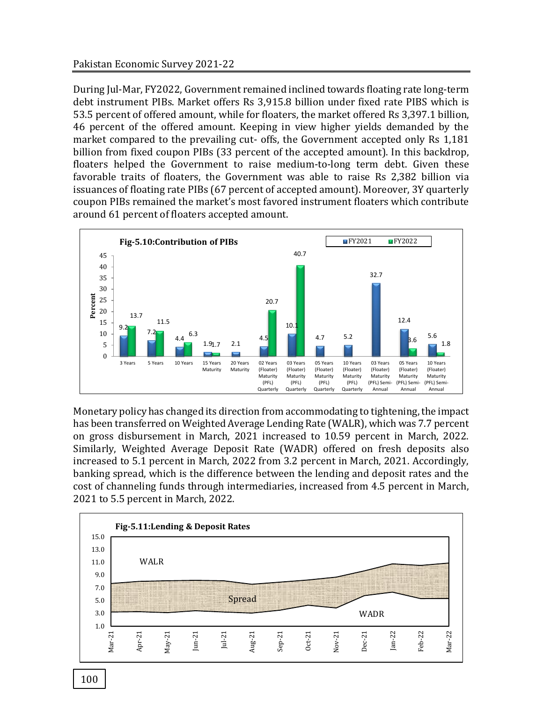During Jul-Mar, FY2022, Government remained inclined towards floating rate long-term debt instrument PIBs. Market offers Rs 3,915.8 billion under fixed rate PIBS which is 53.5 percent of offered amount, while for floaters, the market offered Rs 3,397.1 billion, 46 percent of the offered amount. Keeping in view higher yields demanded by the market compared to the prevailing cut- offs, the Government accepted only Rs 1,181 billion from fixed coupon PIBs (33 percent of the accepted amount). In this backdrop, floaters helped the Government to raise medium-to-long term debt. Given these favorable traits of floaters, the Government was able to raise Rs 2,382 billion via issuances of floating rate PIBs (67 percent of accepted amount). Moreover, 3Y quarterly coupon PIBs remained the market's most favored instrument floaters which contribute around 61 percent of floaters accepted amount.



Monetary policy has changed its direction from accommodating to tightening, the impact has been transferred on Weighted Average Lending Rate (WALR), which was 7.7 percent on gross disbursement in March, 2021 increased to 10.59 percent in March, 2022. Similarly, Weighted Average Deposit Rate (WADR) offered on fresh deposits also increased to 5.1 percent in March, 2022 from 3.2 percent in March, 2021. Accordingly, banking spread, which is the difference between the lending and deposit rates and the cost of channeling funds through intermediaries, increased from 4.5 percent in March, 2021 to 5.5 percent in March, 2022.

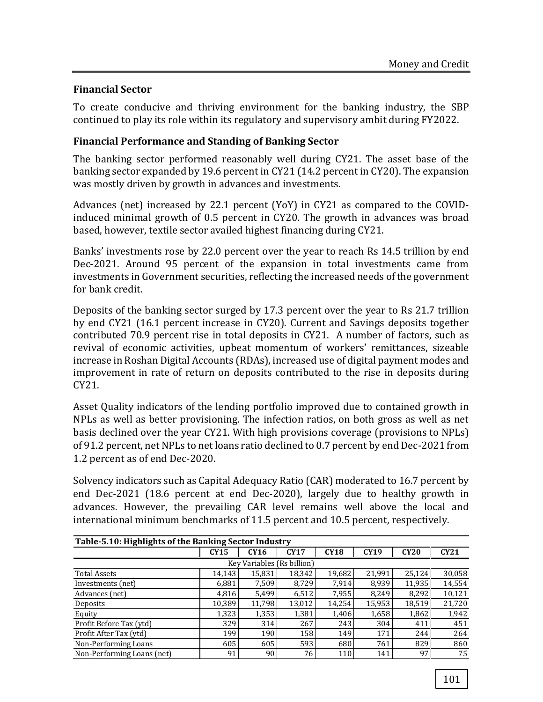## **Financial Sector**

To create conducive and thriving environment for the banking industry, the SBP continued to play its role within its regulatory and supervisory ambit during FY2022.

## **Financial Performance and Standing of Banking Sector**

The banking sector performed reasonably well during CY21. The asset base of the banking sector expanded by 19.6 percent in CY21 (14.2 percent in CY20). The expansion was mostly driven by growth in advances and investments.

Advances (net) increased by 22.1 percent (YoY) in CY21 as compared to the COVIDinduced minimal growth of 0.5 percent in CY20. The growth in advances was broad based, however, textile sector availed highest financing during CY21.

Banks' investments rose by 22.0 percent over the year to reach Rs 14.5 trillion by end Dec-2021. Around 95 percent of the expansion in total investments came from investments in Government securities, reflecting the increased needs of the government for bank credit.

Deposits of the banking sector surged by 17.3 percent over the year to Rs 21.7 trillion by end CY21 (16.1 percent increase in CY20). Current and Savings deposits together contributed 70.9 percent rise in total deposits in CY21. A number of factors, such as revival of economic activities, upbeat momentum of workers' remittances, sizeable increase in Roshan Digital Accounts (RDAs), increased use of digital payment modes and improvement in rate of return on deposits contributed to the rise in deposits during CY21.

Asset Quality indicators of the lending portfolio improved due to contained growth in NPLs as well as better provisioning. The infection ratios, on both gross as well as net basis declined over the year CY21. With high provisions coverage (provisions to NPLs) of 91.2 percent, net NPLs to net loans ratio declined to 0.7 percent by end Dec-2021 from 1.2 percent as of end Dec-2020.

Solvency indicators such as Capital Adequacy Ratio (CAR) moderated to 16.7 percent by end Dec-2021 (18.6 percent at end Dec-2020), largely due to healthy growth in advances. However, the prevailing CAR level remains well above the local and international minimum benchmarks of 11.5 percent and 10.5 percent, respectively.

| Table-5.10: Highlights of the Banking Sector Industry |             |        |             |             |        |        |        |
|-------------------------------------------------------|-------------|--------|-------------|-------------|--------|--------|--------|
|                                                       | <b>CY15</b> | CY16   | <b>CY17</b> | <b>CY18</b> | CY19   | CY20   | CY21   |
| Key Variables (Rs billion)                            |             |        |             |             |        |        |        |
| <b>Total Assets</b>                                   | 14.143      | 15,831 | 18,342      | 19,682      | 21,991 | 25.124 | 30,058 |
| Investments (net)                                     | 6,881       | 7,509  | 8.729       | 7,914       | 8,939  | 11,935 | 14,554 |
| Advances (net)                                        | 4,816       | 5,499  | 6,512       | 7,955       | 8.249  | 8,292  | 10,121 |
| Deposits                                              | 10.389      | 11.798 | 13,012      | 14,254      | 15,953 | 18,519 | 21,720 |
| Equity                                                | 1,323       | 1,353  | 1,381       | 1,406       | 1,658  | 1,862  | 1,942  |
| Profit Before Tax (ytd)                               | 329         | 314    | 267         | 243         | 304    | 411    | 451    |
| Profit After Tax (ytd)                                | 199         | 190    | 158         | 149         | 171    | 244    | 264    |
| Non-Performing Loans                                  | 605         | 605    | 593         | 680         | 761    | 829    | 860    |
| Non-Performing Loans (net)                            | 91          | 90     | 76          | 110         | 141    | 97     | 75     |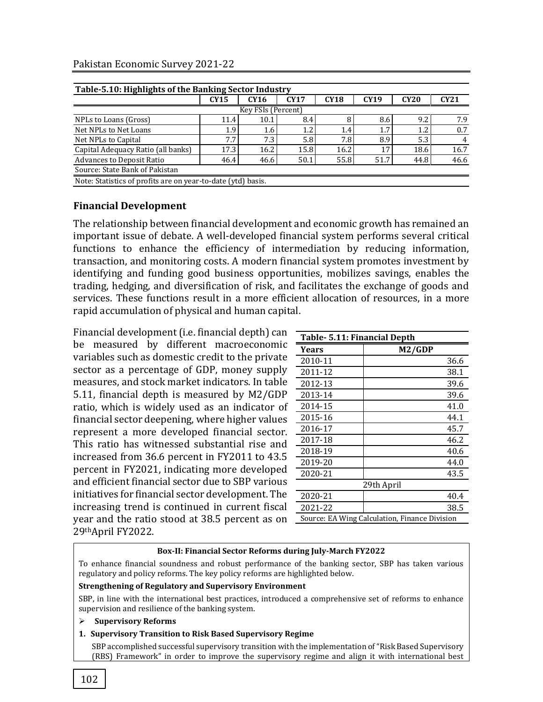## Pakistan Economic Survey 2021-22

|                    | CY16                                                         | <b>CY17</b> | <b>CY18</b>      | CY19 | <b>CY20</b> | CY21 |
|--------------------|--------------------------------------------------------------|-------------|------------------|------|-------------|------|
| Key FSIs (Percent) |                                                              |             |                  |      |             |      |
| 11.4               | 10.1                                                         | 8.4         |                  | 8.6  | 9.2         | 7.9  |
| 1.9                | 1.6                                                          | 1.2         | 1.4              | 1.7  | 1.2         | 0.7  |
| 7.7                | 7.3                                                          | 5.8         | 7.8 <sub>1</sub> | 8.9  | 5.3         | 4    |
| 17.3               | 16.2                                                         | 15.8        | 16.2             |      | 18.6        | 16.7 |
| 46.4               | 46.6                                                         | 50.1        | 55.8             | 51.7 | 44.8        | 46.6 |
|                    |                                                              |             |                  |      |             |      |
|                    | Note: Statistics of profits are on year-to-date (ytd) basis. |             |                  |      |             |      |

## **Financial Development**

The relationship between financial development and economic growth has remained an important issue of debate. A well-developed financial system performs several critical functions to enhance the efficiency of intermediation by reducing information, transaction, and monitoring costs. A modern financial system promotes investment by identifying and funding good business opportunities, mobilizes savings, enables the trading, hedging, and diversification of risk, and facilitates the exchange of goods and services. These functions result in a more efficient allocation of resources, in a more rapid accumulation of physical and human capital.

Financial development (i.e. financial depth) can be measured by different macroeconomic variables such as domestic credit to the private sector as a percentage of GDP, money supply measures, and stock market indicators. In table 5.11, financial depth is measured by M2/GDP ratio, which is widely used as an indicator of financial sector deepening, where higher values represent a more developed financial sector. This ratio has witnessed substantial rise and increased from 36.6 percent in FY2011 to 43.5 percent in FY2021, indicating more developed and efficient financial sector due to SBP various initiatives for financial sector development. The increasing trend is continued in current fiscal year and the ratio stood at 38.5 percent as on 29thApril FY2022.

| Table- 5.11: Financial Depth                  |            |  |  |  |  |
|-----------------------------------------------|------------|--|--|--|--|
| Years                                         | M2/GDP     |  |  |  |  |
| 2010-11                                       | 36.6       |  |  |  |  |
| 2011-12                                       | 38.1       |  |  |  |  |
| 2012-13                                       | 39.6       |  |  |  |  |
| 2013-14                                       | 39.6       |  |  |  |  |
| 2014-15                                       | 41.0       |  |  |  |  |
| 2015-16                                       | 44.1       |  |  |  |  |
| 2016-17                                       | 45.7       |  |  |  |  |
| 2017-18                                       | 46.2       |  |  |  |  |
| 2018-19                                       | 40.6       |  |  |  |  |
| 2019-20                                       | 44.0       |  |  |  |  |
| 2020-21                                       | 43.5       |  |  |  |  |
|                                               | 29th April |  |  |  |  |
| 2020-21                                       | 40.4       |  |  |  |  |
| 2021-22                                       | 38.5       |  |  |  |  |
| Source: EA Wing Calculation, Finance Division |            |  |  |  |  |

## **Box-II: Financial Sector Reforms during July-March FY2022**

To enhance financial soundness and robust performance of the banking sector, SBP has taken various regulatory and policy reforms. The key policy reforms are highlighted below.

#### **Strengthening of Regulatory and Supervisory Environment**

 SBP, in line with the international best practices, introduced a comprehensive set of reforms to enhance supervision and resilience of the banking system.

#### ➢ **Supervisory Reforms**

#### **1. Supervisory Transition to Risk Based Supervisory Regime**

SBP accomplished successful supervisory transition with the implementation of "Risk Based Supervisory (RBS) Framework" in order to improve the supervisory regime and align it with international best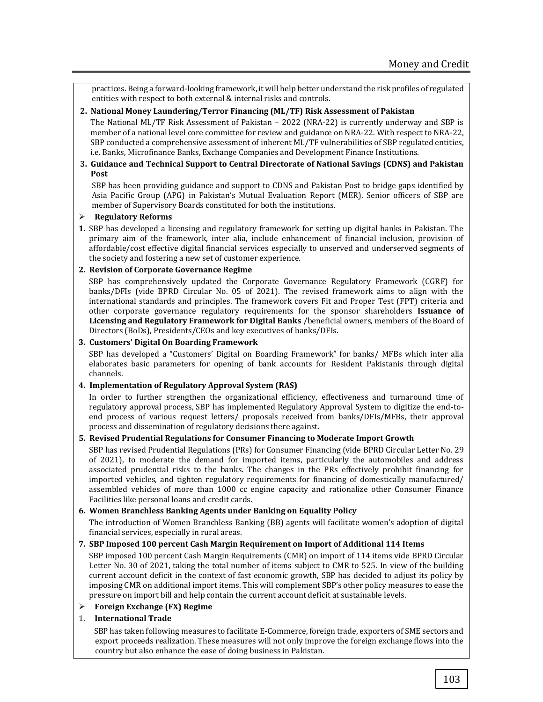practices. Being a forward-looking framework, it will help better understand the risk profiles of regulated entities with respect to both external & internal risks and controls.

#### **2. National Money Laundering/Terror Financing (ML/TF) Risk Assessment of Pakistan**

The National ML/TF Risk Assessment of Pakistan – 2022 (NRA-22) is currently underway and SBP is member of a national level core committee for review and guidance on NRA-22. With respect to NRA-22, SBP conducted a comprehensive assessment of inherent ML/TF vulnerabilities of SBP regulated entities, i.e. Banks, Microfinance Banks, Exchange Companies and Development Finance Institutions.

#### **3. Guidance and Technical Support to Central Directorate of National Savings (CDNS) and Pakistan Post**

SBP has been providing guidance and support to CDNS and Pakistan Post to bridge gaps identified by Asia Pacific Group (APG) in Pakistan's Mutual Evaluation Report (MER). Senior officers of SBP are member of Supervisory Boards constituted for both the institutions.

## ➢ **Regulatory Reforms**

**1.** SBP has developed a licensing and regulatory framework for setting up digital banks in Pakistan. The primary aim of the framework, inter alia, include enhancement of financial inclusion, provision of affordable/cost effective digital financial services especially to unserved and underserved segments of the society and fostering a new set of customer experience.

#### **2. Revision of Corporate Governance Regime**

SBP has comprehensively updated the Corporate Governance Regulatory Framework (CGRF) for banks/DFIs (vide BPRD Circular No. 05 of 2021). The revised framework aims to align with the international standards and principles. The framework covers Fit and Proper Test (FPT) criteria and other corporate governance regulatory requirements for the sponsor shareholders **Issuance of Licensing and Regulatory Framework for Digital Banks** /beneficial owners, members of the Board of Directors (BoDs), Presidents/CEOs and key executives of banks/DFIs.

#### **3. Customers' Digital On Boarding Framework**

SBP has developed a "Customers' Digital on Boarding Framework" for banks/ MFBs which inter alia elaborates basic parameters for opening of bank accounts for Resident Pakistanis through digital channels.

## **4. Implementation of Regulatory Approval System (RAS)**

In order to further strengthen the organizational efficiency, effectiveness and turnaround time of regulatory approval process, SBP has implemented Regulatory Approval System to digitize the end-toend process of various request letters/ proposals received from banks/DFIs/MFBs, their approval process and dissemination of regulatory decisions there against.

## **5. Revised Prudential Regulations for Consumer Financing to Moderate Import Growth**

SBP has revised Prudential Regulations (PRs) for Consumer Financing (vide BPRD Circular Letter No. 29 of 2021), to moderate the demand for imported items, particularly the automobiles and address associated prudential risks to the banks. The changes in the PRs effectively prohibit financing for imported vehicles, and tighten regulatory requirements for financing of domestically manufactured/ assembled vehicles of more than 1000 cc engine capacity and rationalize other Consumer Finance Facilities like personal loans and credit cards.

#### **6. Women Branchless Banking Agents under Banking on Equality Policy**

The introduction of Women Branchless Banking (BB) agents will facilitate women's adoption of digital financial services, especially in rural areas.

## **7. SBP Imposed 100 percent Cash Margin Requirement on Import of Additional 114 Items**

SBP imposed 100 percent Cash Margin Requirements (CMR) on import of 114 items vide BPRD Circular Letter No. 30 of 2021, taking the total number of items subject to CMR to 525. In view of the building current account deficit in the context of fast economic growth, SBP has decided to adjust its policy by imposing CMR on additional import items. This will complement SBP's other policy measures to ease the pressure on import bill and help contain the current account deficit at sustainable levels.

## ➢ **Foreign Exchange (FX) Regime**

## 1. **International Trade**

SBP has taken following measures to facilitate E-Commerce, foreign trade, exporters of SME sectors and export proceeds realization. These measures will not only improve the foreign exchange flows into the country but also enhance the ease of doing business in Pakistan.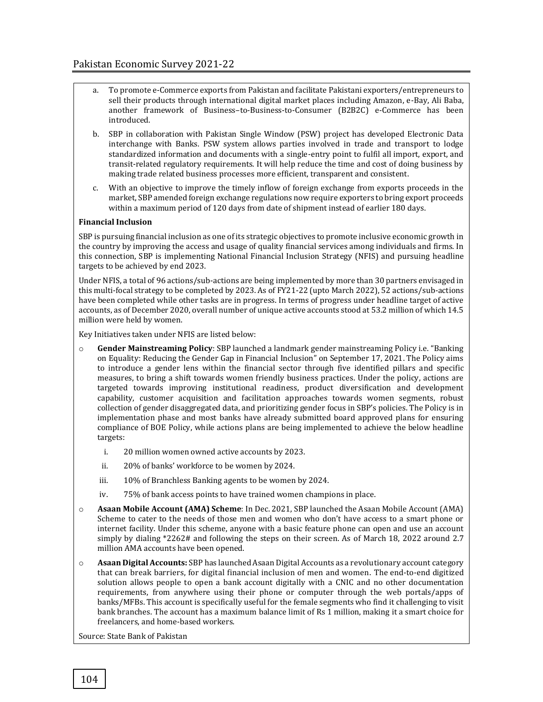- a. To promote e-Commerce exports from Pakistan and facilitate Pakistani exporters/entrepreneurs to sell their products through international digital market places including Amazon, e-Bay, Ali Baba, another framework of Business–to-Business-to-Consumer (B2B2C) e-Commerce has been introduced.
- b. SBP in collaboration with Pakistan Single Window (PSW) project has developed Electronic Data interchange with Banks. PSW system allows parties involved in trade and transport to lodge standardized information and documents with a single-entry point to fulfil all import, export, and transit-related regulatory requirements. It will help reduce the time and cost of doing business by making trade related business processes more efficient, transparent and consistent.
- c. With an objective to improve the timely inflow of foreign exchange from exports proceeds in the market, SBP amended foreign exchange regulations now require exporters to bring export proceeds within a maximum period of 120 days from date of shipment instead of earlier 180 days.

#### **Financial Inclusion**

SBP is pursuing financial inclusion as one of its strategic objectives to promote inclusive economic growth in the country by improving the access and usage of quality financial services among individuals and firms. In this connection, SBP is implementing National Financial Inclusion Strategy (NFIS) and pursuing headline targets to be achieved by end 2023.

Under NFIS, a total of 96 actions/sub-actions are being implemented by more than 30 partners envisaged in this multi-focal strategy to be completed by 2023. As of FY21-22 (upto March 2022), 52 actions/sub-actions have been completed while other tasks are in progress. In terms of progress under headline target of active accounts, as of December 2020, overall number of unique active accounts stood at 53.2 million of which 14.5 million were held by women.

Key Initiatives taken under NFIS are listed below:

- **Gender Mainstreaming Policy**: SBP launched a landmark gender mainstreaming Policy i.e. "Banking on Equality: Reducing the Gender Gap in Financial Inclusion" on September 17, 2021. The Policy aims to introduce a gender lens within the financial sector through five identified pillars and specific measures, to bring a shift towards women friendly business practices. Under the policy, actions are targeted towards improving institutional readiness, product diversification and development capability, customer acquisition and facilitation approaches towards women segments, robust collection of gender disaggregated data, and prioritizing gender focus in SBP's policies. The Policy is in implementation phase and most banks have already submitted board approved plans for ensuring compliance of BOE Policy, while actions plans are being implemented to achieve the below headline targets:
	- i. 20 million women owned active accounts by 2023.
	- ii. 20% of banks' workforce to be women by 2024.
	- iii. 10% of Branchless Banking agents to be women by 2024.
	- iv. 75% of bank access points to have trained women champions in place.
- o **Asaan Mobile Account (AMA) Scheme**: In Dec. 2021, SBP launched the Asaan Mobile Account (AMA) Scheme to cater to the needs of those men and women who don't have access to a smart phone or internet facility. Under this scheme, anyone with a basic feature phone can open and use an account simply by dialing \*2262# and following the steps on their screen. As of March 18, 2022 around 2.7 million AMA accounts have been opened.
- o **Asaan Digital Accounts:** SBP has launched Asaan Digital Accounts as a revolutionary account category that can break barriers, for digital financial inclusion of men and women. The end-to-end digitized solution allows people to open a bank account digitally with a CNIC and no other documentation requirements, from anywhere using their phone or computer through the web portals/apps of banks/MFBs. This account is specifically useful for the female segments who find it challenging to visit bank branches. The account has a maximum balance limit of Rs 1 million, making it a smart choice for freelancers, and home-based workers.

Source: State Bank of Pakistan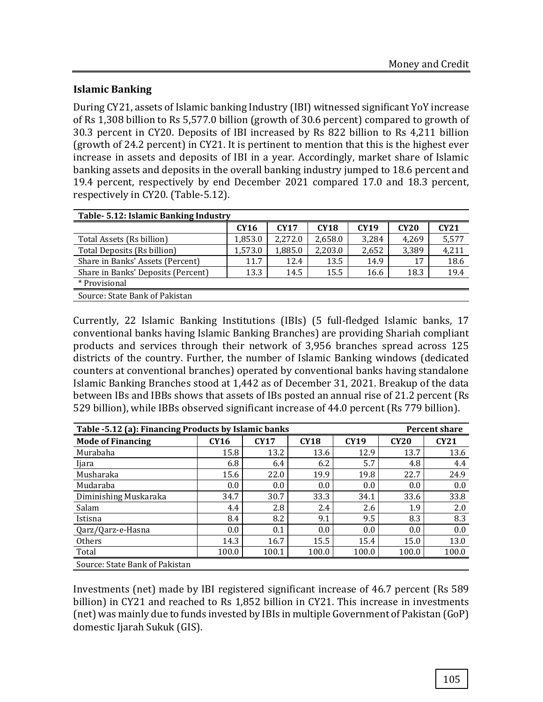## **Islamic Banking**

During CY21, assets of Islamic banking Industry (IBI) witnessed significant YoY increase of Rs 1,308 billion to Rs 5,577.0 billion (growth of 30.6 percent) compared to growth of 30.3 percent in CY20. Deposits of IBI increased by Rs 822 billion to Rs 4,211 billion (growth of 24.2 percent) in CY21. It is pertinent to mention that this is the highest ever increase in assets and deposits of IBI in a year. Accordingly, market share of Islamic banking assets and deposits in the overall banking industry jumped to 18.6 percent and 19.4 percent, respectively by end December 2021 compared 17.0 and 18.3 percent, respectively in CY20. (Table-5.12).

| Table- 5.12: Islamic Banking Industry |             |             |             |       |             |       |
|---------------------------------------|-------------|-------------|-------------|-------|-------------|-------|
|                                       | <b>CY16</b> | <b>CY17</b> | <b>CY18</b> | CY19  | <b>CY20</b> | CY21  |
| Total Assets (Rs billion)             | 1,853.0     | 2.272.0     | 2,658.0     | 3,284 | 4,269       | 5,577 |
| Total Deposits (Rs billion)           | 1,573.0     | 1,885.0     | 2,203.0     | 2,652 | 3,389       | 4,211 |
| Share in Banks' Assets (Percent)      | 11.7        | 12.4        | 13.5        | 14.9  | 17          | 18.6  |
| Share in Banks' Deposits (Percent)    | 13.3        | 14.5        | 15.5        | 16.6  | 18.3        | 19.4  |
| * Provisional                         |             |             |             |       |             |       |
| Source: State Bank of Pakistan        |             |             |             |       |             |       |

Currently, 22 Islamic Banking Institutions (IBIs) (5 full-fledged Islamic banks, 17 conventional banks having Islamic Banking Branches) are providing Shariah compliant products and services through their network of 3,956 branches spread across 125 districts of the country. Further, the number of Islamic Banking windows (dedicated counters at conventional branches) operated by conventional banks having standalone Islamic Banking Branches stood at 1,442 as of December 31, 2021. Breakup of the data between IBs and IBBs shows that assets of IBs posted an annual rise of 21.2 percent (Rs 529 billion), while IBBs observed significant increase of 44.0 percent (Rs 779 billion).

| Table -5.12 (a): Financing Products by Islamic banks |             |             |             |             | <b>Percent share</b> |       |
|------------------------------------------------------|-------------|-------------|-------------|-------------|----------------------|-------|
| <b>Mode of Financing</b>                             | <b>CY16</b> | <b>CY17</b> | <b>CY18</b> | <b>CY19</b> | CY20                 | CY21  |
| Murabaha                                             | 15.8        | 13.2        | 13.6        | 12.9        | 13.7                 | 13.6  |
| Ijara                                                | 6.8         | 6.4         | 6.2         | 5.7         | 4.8                  | 4.4   |
| Musharaka                                            | 15.6        | 22.0        | 19.9        | 19.8        | 22.7                 | 24.9  |
| Mudaraba                                             | 0.0         | 0.0         | 0.0         | 0.0         | 0.0                  | 0.0   |
| Diminishing Muskaraka                                | 34.7        | 30.7        | 33.3        | 34.1        | 33.6                 | 33.8  |
| Salam                                                | 4.4         | 2.8         | 2.4         | 2.6         | 1.9                  | 2.0   |
| Istisna                                              | 8.4         | 8.2         | 9.1         | 9.5         | 8.3                  | 8.3   |
| Qarz/Qarz-e-Hasna                                    | 0.0         | 0.1         | 0.0         | 0.0         | 0.0                  | 0.0   |
| <b>Others</b>                                        | 14.3        | 16.7        | 15.5        | 15.4        | 15.0                 | 13.0  |
| Total                                                | 100.0       | 100.1       | 100.0       | 100.0       | 100.0                | 100.0 |
| Source: State Bank of Pakistan                       |             |             |             |             |                      |       |

Investments (net) made by IBI registered significant increase of 46.7 percent (Rs 589 billion) in CY21 and reached to Rs 1,852 billion in CY21. This increase in investments (net) was mainly due to funds invested by IBIs in multiple Government of Pakistan (GoP) domestic Ijarah Sukuk (GIS).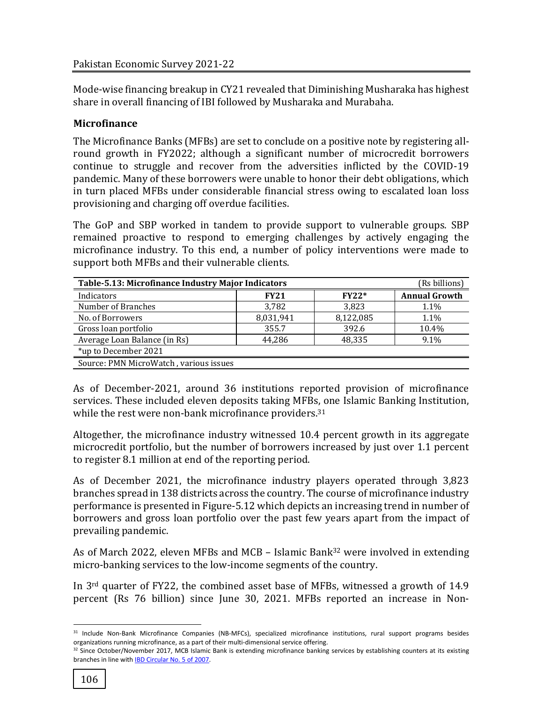Mode-wise financing breakup in CY21 revealed that Diminishing Musharaka has highest share in overall financing of IBI followed by Musharaka and Murabaha.

## **Microfinance**

The Microfinance Banks (MFBs) are set to conclude on a positive note by registering allround growth in FY2022; although a significant number of microcredit borrowers continue to struggle and recover from the adversities inflicted by the COVID-19 pandemic. Many of these borrowers were unable to honor their debt obligations, which in turn placed MFBs under considerable financial stress owing to escalated loan loss provisioning and charging off overdue facilities.

The GoP and SBP worked in tandem to provide support to vulnerable groups. SBP remained proactive to respond to emerging challenges by actively engaging the microfinance industry. To this end, a number of policy interventions were made to support both MFBs and their vulnerable clients.

| Table-5.13: Microfinance Industry Major Indicators | (Rs billions) |           |                      |
|----------------------------------------------------|---------------|-----------|----------------------|
| Indicators                                         | <b>FY21</b>   | $FY22*$   | <b>Annual Growth</b> |
| Number of Branches                                 | 3,782         | 3,823     | 1.1%                 |
| No. of Borrowers                                   | 8,031,941     | 8,122,085 | 1.1%                 |
| Gross loan portfolio                               | 355.7         | 392.6     | 10.4%                |
| Average Loan Balance (in Rs)                       | 44.286        | 48,335    | 9.1%                 |
| *up to December 2021                               |               |           |                      |
| Source: PMN MicroWatch, various issues             |               |           |                      |

As of December-2021, around 36 institutions reported provision of microfinance services. These included eleven deposits taking MFBs, one Islamic Banking Institution, while the rest were non-bank microfinance providers.<sup>31</sup>

Altogether, the microfinance industry witnessed 10.4 percent growth in its aggregate microcredit portfolio, but the number of borrowers increased by just over 1.1 percent to register 8.1 million at end of the reporting period.

As of December 2021, the microfinance industry players operated through 3,823 branches spread in 138 districts across the country. The course of microfinance industry performance is presented in Figure-5.12 which depicts an increasing trend in number of borrowers and gross loan portfolio over the past few years apart from the impact of prevailing pandemic.

As of March 2022, eleven MFBs and MCB – Islamic Bank<sup>32</sup> were involved in extending micro-banking services to the low-income segments of the country.

In 3rd quarter of FY22, the combined asset base of MFBs, witnessed a growth of 14.9 percent (Rs 76 billion) since June 30, 2021. MFBs reported an increase in Non-

 $\overline{\phantom{a}}$ 31 Include Non-Bank Microfinance Companies (NB-MFCs), specialized microfinance institutions, rural support programs besides organizations running microfinance, as a part of their multi-dimensional service offering.

 $32$  Since October/November 2017, MCB Islamic Bank is extending microfinance banking services by establishing counters at its existing branches in line wit[h IBD Circular No. 5 of 2007.](http://www.sbp.org.pk/ibd/2007/C5.htm)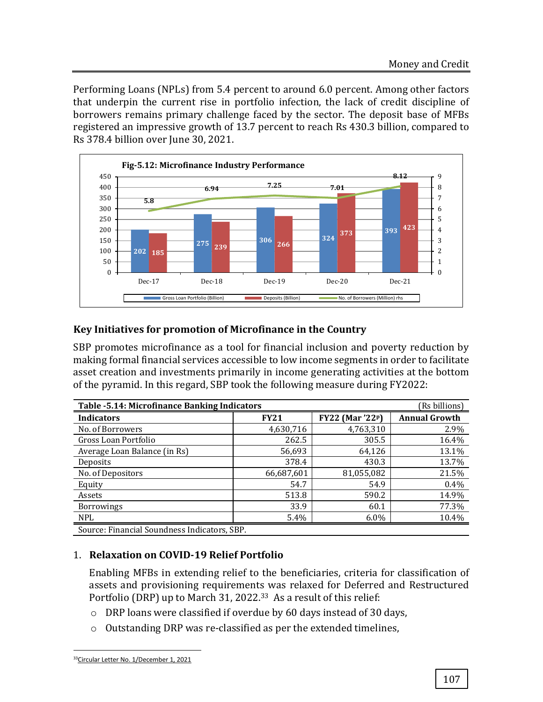Performing Loans (NPLs) from 5.4 percent to around 6.0 percent. Among other factors that underpin the current rise in portfolio infection, the lack of credit discipline of borrowers remains primary challenge faced by the sector. The deposit base of MFBs registered an impressive growth of 13.7 percent to reach Rs 430.3 billion, compared to Rs 378.4 billion over June 30, 2021.



# **Key Initiatives for promotion of Microfinance in the Country**

SBP promotes microfinance as a tool for financial inclusion and poverty reduction by making formal financial services accessible to low income segments in order to facilitate asset creation and investments primarily in income generating activities at the bottom of the pyramid. In this regard, SBP took the following measure during FY2022:

| Table - 5.14: Microfinance Banking Indicators | (Rs billions) |                                     |                      |
|-----------------------------------------------|---------------|-------------------------------------|----------------------|
| <b>Indicators</b>                             | <b>FY21</b>   | <b>FY22</b> (Mar '22 <sup>p</sup> ) | <b>Annual Growth</b> |
| No. of Borrowers                              | 4,630,716     | 4,763,310                           | 2.9%                 |
| Gross Loan Portfolio                          | 262.5         | 305.5                               | 16.4%                |
| Average Loan Balance (in Rs)                  | 56,693        | 64,126                              | 13.1%                |
| Deposits                                      | 378.4         | 430.3                               | 13.7%                |
| No. of Depositors                             | 66,687,601    | 81,055,082                          | 21.5%                |
| Equity                                        | 54.7          | 54.9                                | $0.4\%$              |
| Assets                                        | 513.8         | 590.2                               | 14.9%                |
| <b>Borrowings</b>                             | 33.9          | 60.1                                | 77.3%                |
| <b>NPL</b>                                    | 5.4%          | $6.0\%$                             | 10.4%                |
| Source: Financial Soundness Indicators, SBP.  |               |                                     |                      |

Source: Financial Soundness Indicators, SBP.

## 1. **Relaxation on COVID-19 Relief Portfolio**

Enabling MFBs in extending relief to the beneficiaries, criteria for classification of assets and provisioning requirements was relaxed for Deferred and Restructured Portfolio (DRP) up to March 31, 2022.33 As a result of this relief:

- o DRP loans were classified if overdue by 60 days instead of 30 days,
- o Outstanding DRP was re-classified as per the extended timelines,

l 33[Circular Letter No. 1/December 1, 2021](https://www.sbp.org.pk/acd/2021/CL1.htm)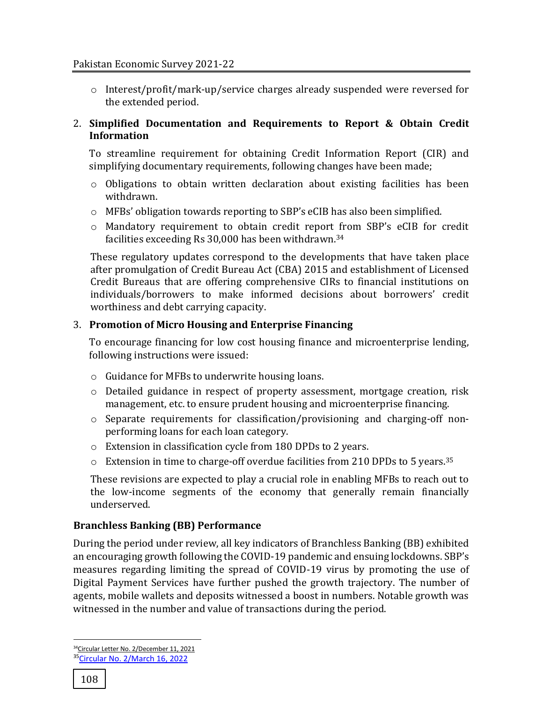o Interest/profit/mark-up/service charges already suspended were reversed for the extended period.

## 2. **Simplified Documentation and Requirements to Report & Obtain Credit Information**

To streamline requirement for obtaining Credit Information Report (CIR) and simplifying documentary requirements, following changes have been made;

- $\circ$  Obligations to obtain written declaration about existing facilities has been withdrawn.
- $\circ$  MFBs' obligation towards reporting to SBP's eCIB has also been simplified.
- o Mandatory requirement to obtain credit report from SBP's eCIB for credit facilities exceeding Rs 30,000 has been withdrawn. 34

These regulatory updates correspond to the developments that have taken place after promulgation of Credit Bureau Act (CBA) 2015 and establishment of Licensed Credit Bureaus that are offering comprehensive CIRs to financial institutions on individuals/borrowers to make informed decisions about borrowers' credit worthiness and debt carrying capacity.

# 3. **Promotion of Micro Housing and Enterprise Financing**

To encourage financing for low cost housing finance and microenterprise lending, following instructions were issued:

- o Guidance for MFBs to underwrite housing loans.
- o Detailed guidance in respect of property assessment, mortgage creation, risk management, etc. to ensure prudent housing and microenterprise financing.
- $\circ$  Separate requirements for classification/provisioning and charging-off nonperforming loans for each loan category.
- o Extension in classification cycle from 180 DPDs to 2 years.
- $\circ$  Extension in time to charge-off overdue facilities from 210 DPDs to 5 years.<sup>35</sup>

These revisions are expected to play a crucial role in enabling MFBs to reach out to the low-income segments of the economy that generally remain financially underserved.

# **Branchless Banking (BB) Performance**

During the period under review, all key indicators of Branchless Banking (BB) exhibited an encouraging growth following the COVID-19 pandemic and ensuing lockdowns. SBP's measures regarding limiting the spread of COVID-19 virus by promoting the use of Digital Payment Services have further pushed the growth trajectory. The number of agents, mobile wallets and deposits witnessed a boost in numbers. Notable growth was witnessed in the number and value of transactions during the period.

 $\overline{\phantom{a}}$ 

<sup>&</sup>lt;sup>34</sup>[Circular Letter No. 2/December 11, 2021](https://www.sbp.org.pk/acd/2021/CL2.htm) <sup>35</sup>[Circular No. 2/March 16, 2022](https://www.sbp.org.pk/acd/2022/C2.htm)